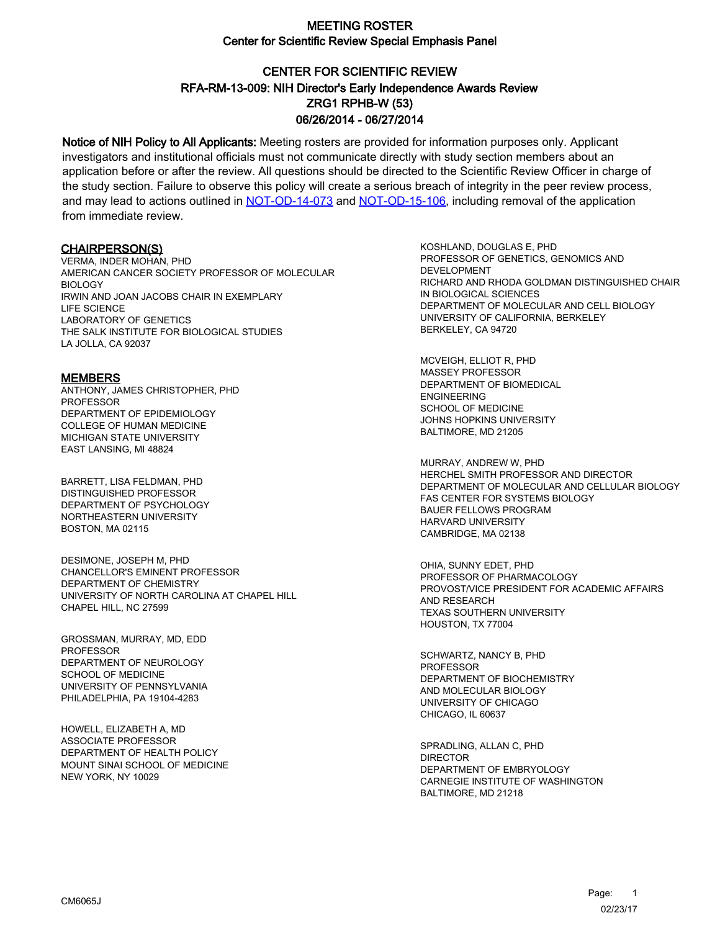# CENTER FOR SCIENTIFIC REVIEW ZRG1 RPHB-W (53) 06/26/2014 - 06/27/2014 RFA-RM-13-009: NIH Director's Early Independence Awards Review

Notice of NIH Policy to All Applicants: Meeting rosters are provided for information purposes only. Applicant investigators and institutional officials must not communicate directly with study section members about an application before or after the review. All questions should be directed to the Scientific Review Officer in charge of the study section. Failure to observe this policy will create a serious breach of integrity in the peer review process, and may lead to actions outlined in [NOT-OD-14-073](https://grants.nih.gov/grants/guide/notice-files/NOT-OD-14-073.html) and [NOT-OD-15-106,](https://grants.nih.gov/grants/guide/notice-files/NOT-OD-15-106.html) including removal of the application from immediate review.

#### CHAIRPERSON(S)

VERMA, INDER MOHAN, PHD AMERICAN CANCER SOCIETY PROFESSOR OF MOLECULAR BIOLOGY IRWIN AND JOAN JACOBS CHAIR IN EXEMPLARY LIFE SCIENCE LABORATORY OF GENETICS THE SALK INSTITUTE FOR BIOLOGICAL STUDIES LA JOLLA, CA 92037

#### MEMBERS

ANTHONY, JAMES CHRISTOPHER, PHD PROFESSOR DEPARTMENT OF EPIDEMIOLOGY COLLEGE OF HUMAN MEDICINE MICHIGAN STATE UNIVERSITY EAST LANSING, MI 48824

BARRETT, LISA FELDMAN, PHD DISTINGUISHED PROFESSOR DEPARTMENT OF PSYCHOLOGY NORTHEASTERN UNIVERSITY BOSTON, MA 02115

DESIMONE, JOSEPH M, PHD CHANCELLOR'S EMINENT PROFESSOR DEPARTMENT OF CHEMISTRY UNIVERSITY OF NORTH CAROLINA AT CHAPEL HILL CHAPEL HILL, NC 27599

GROSSMAN, MURRAY, MD, EDD PROFESSOR DEPARTMENT OF NEUROLOGY SCHOOL OF MEDICINE UNIVERSITY OF PENNSYLVANIA PHILADELPHIA, PA 19104-4283

HOWELL, ELIZABETH A, MD ASSOCIATE PROFESSOR DEPARTMENT OF HEALTH POLICY MOUNT SINAI SCHOOL OF MEDICINE NEW YORK, NY 10029

KOSHLAND, DOUGLAS E, PHD PROFESSOR OF GENETICS, GENOMICS AND DEVELOPMENT RICHARD AND RHODA GOLDMAN DISTINGUISHED CHAIR IN BIOLOGICAL SCIENCES DEPARTMENT OF MOLECULAR AND CELL BIOLOGY UNIVERSITY OF CALIFORNIA, BERKELEY BERKELEY, CA 94720

MCVEIGH, ELLIOT R, PHD MASSEY PROFESSOR DEPARTMENT OF BIOMEDICAL ENGINEERING SCHOOL OF MEDICINE JOHNS HOPKINS UNIVERSITY BALTIMORE, MD 21205

MURRAY, ANDREW W, PHD HERCHEL SMITH PROFESSOR AND DIRECTOR DEPARTMENT OF MOLECULAR AND CELLULAR BIOLOGY FAS CENTER FOR SYSTEMS BIOLOGY BAUER FELLOWS PROGRAM HARVARD UNIVERSITY CAMBRIDGE, MA 02138

OHIA, SUNNY EDET, PHD PROFESSOR OF PHARMACOLOGY PROVOST/VICE PRESIDENT FOR ACADEMIC AFFAIRS AND RESEARCH TEXAS SOUTHERN UNIVERSITY HOUSTON, TX 77004

SCHWARTZ, NANCY B, PHD PROFESSOR DEPARTMENT OF BIOCHEMISTRY AND MOLECULAR BIOLOGY UNIVERSITY OF CHICAGO CHICAGO, IL 60637

SPRADLING, ALLAN C, PHD DIRECTOR DEPARTMENT OF EMBRYOLOGY CARNEGIE INSTITUTE OF WASHINGTON BALTIMORE, MD 21218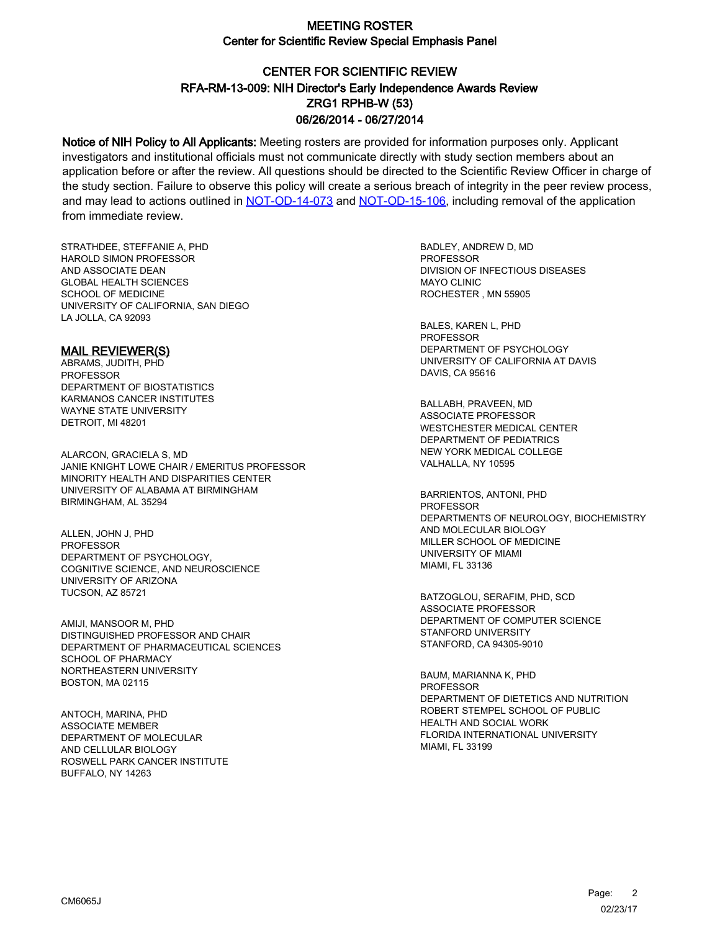# CENTER FOR SCIENTIFIC REVIEW ZRG1 RPHB-W (53) 06/26/2014 - 06/27/2014 RFA-RM-13-009: NIH Director's Early Independence Awards Review

Notice of NIH Policy to All Applicants: Meeting rosters are provided for information purposes only. Applicant investigators and institutional officials must not communicate directly with study section members about an application before or after the review. All questions should be directed to the Scientific Review Officer in charge of the study section. Failure to observe this policy will create a serious breach of integrity in the peer review process, and may lead to actions outlined in [NOT-OD-14-073](https://grants.nih.gov/grants/guide/notice-files/NOT-OD-14-073.html) and [NOT-OD-15-106,](https://grants.nih.gov/grants/guide/notice-files/NOT-OD-15-106.html) including removal of the application from immediate review.

STRATHDEE, STEFFANIE A, PHD HAROLD SIMON PROFESSOR AND ASSOCIATE DEAN GLOBAL HEALTH SCIENCES SCHOOL OF MEDICINE UNIVERSITY OF CALIFORNIA, SAN DIEGO LA JOLLA, CA 92093

#### MAIL REVIEWER(S)

ABRAMS, JUDITH, PHD PROFESSOR DEPARTMENT OF BIOSTATISTICS KARMANOS CANCER INSTITUTES WAYNE STATE UNIVERSITY DETROIT, MI 48201

ALARCON, GRACIELA S, MD JANIE KNIGHT LOWE CHAIR / EMERITUS PROFESSOR MINORITY HEALTH AND DISPARITIES CENTER UNIVERSITY OF ALABAMA AT BIRMINGHAM BIRMINGHAM, AL 35294

ALLEN, JOHN J, PHD PROFESSOR DEPARTMENT OF PSYCHOLOGY, COGNITIVE SCIENCE, AND NEUROSCIENCE UNIVERSITY OF ARIZONA TUCSON, AZ 85721

AMIJI, MANSOOR M, PHD DISTINGUISHED PROFESSOR AND CHAIR DEPARTMENT OF PHARMACEUTICAL SCIENCES SCHOOL OF PHARMACY NORTHEASTERN UNIVERSITY BOSTON, MA 02115

ANTOCH, MARINA, PHD ASSOCIATE MEMBER DEPARTMENT OF MOLECULAR AND CELLULAR BIOLOGY ROSWELL PARK CANCER INSTITUTE BUFFALO, NY 14263

BADLEY, ANDREW D, MD **PROFESSOR** DIVISION OF INFECTIOUS DISEASES MAYO CLINIC ROCHESTER , MN 55905

BALES, KAREN L, PHD PROFESSOR DEPARTMENT OF PSYCHOLOGY UNIVERSITY OF CALIFORNIA AT DAVIS DAVIS, CA 95616

BALLABH, PRAVEEN, MD ASSOCIATE PROFESSOR WESTCHESTER MEDICAL CENTER DEPARTMENT OF PEDIATRICS NEW YORK MEDICAL COLLEGE VALHALLA, NY 10595

BARRIENTOS, ANTONI, PHD PROFESSOR DEPARTMENTS OF NEUROLOGY, BIOCHEMISTRY AND MOLECULAR BIOLOGY MILLER SCHOOL OF MEDICINE UNIVERSITY OF MIAMI MIAMI, FL 33136

BATZOGLOU, SERAFIM, PHD, SCD ASSOCIATE PROFESSOR DEPARTMENT OF COMPUTER SCIENCE STANFORD UNIVERSITY STANFORD, CA 94305-9010

BAUM, MARIANNA K, PHD **PROFESSOR** DEPARTMENT OF DIETETICS AND NUTRITION ROBERT STEMPEL SCHOOL OF PUBLIC HEALTH AND SOCIAL WORK FLORIDA INTERNATIONAL UNIVERSITY MIAMI, FL 33199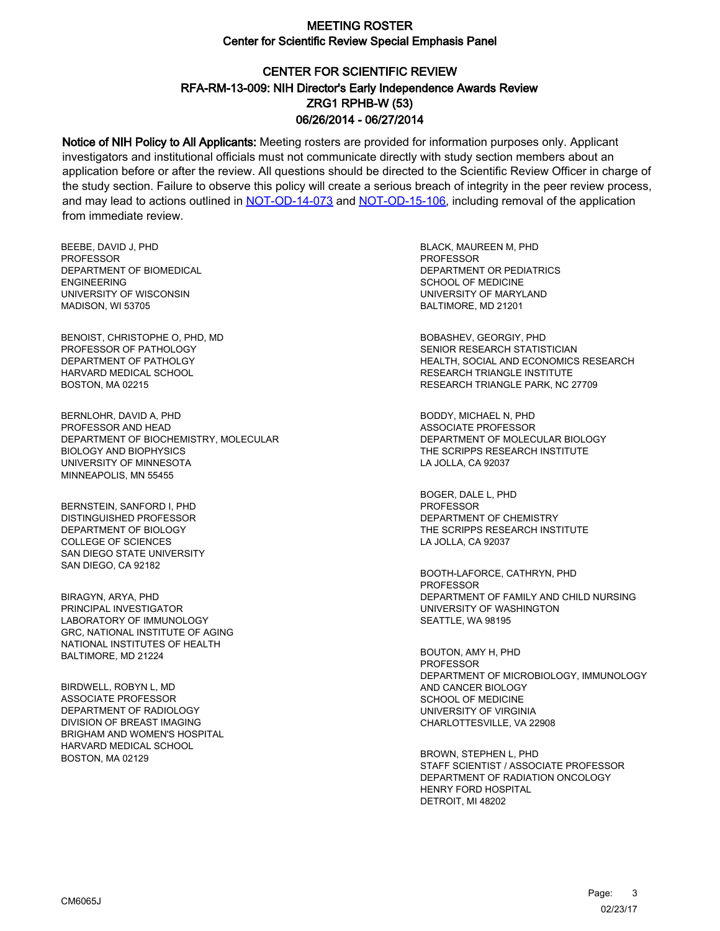# CENTER FOR SCIENTIFIC REVIEW ZRG1 RPHB-W (53) 06/26/2014 - 06/27/2014 RFA-RM-13-009: NIH Director's Early Independence Awards Review

Notice of NIH Policy to All Applicants: Meeting rosters are provided for information purposes only. Applicant investigators and institutional officials must not communicate directly with study section members about an application before or after the review. All questions should be directed to the Scientific Review Officer in charge of the study section. Failure to observe this policy will create a serious breach of integrity in the peer review process, and may lead to actions outlined in [NOT-OD-14-073](https://grants.nih.gov/grants/guide/notice-files/NOT-OD-14-073.html) and [NOT-OD-15-106,](https://grants.nih.gov/grants/guide/notice-files/NOT-OD-15-106.html) including removal of the application from immediate review.

BEEBE, DAVID J, PHD PROFESSOR DEPARTMENT OF BIOMEDICAL ENGINEERING UNIVERSITY OF WISCONSIN MADISON, WI 53705

BENOIST, CHRISTOPHE O, PHD, MD PROFESSOR OF PATHOLOGY DEPARTMENT OF PATHOLGY HARVARD MEDICAL SCHOOL BOSTON, MA 02215

BERNLOHR, DAVID A, PHD PROFESSOR AND HEAD DEPARTMENT OF BIOCHEMISTRY, MOLECULAR BIOLOGY AND BIOPHYSICS UNIVERSITY OF MINNESOTA MINNEAPOLIS, MN 55455

BERNSTEIN, SANFORD I, PHD DISTINGUISHED PROFESSOR DEPARTMENT OF BIOLOGY COLLEGE OF SCIENCES SAN DIEGO STATE UNIVERSITY SAN DIEGO, CA 92182

BIRAGYN, ARYA, PHD PRINCIPAL INVESTIGATOR LABORATORY OF IMMUNOLOGY GRC, NATIONAL INSTITUTE OF AGING NATIONAL INSTITUTES OF HEALTH BALTIMORE, MD 21224

BIRDWELL, ROBYN L, MD ASSOCIATE PROFESSOR DEPARTMENT OF RADIOLOGY DIVISION OF BREAST IMAGING BRIGHAM AND WOMEN'S HOSPITAL HARVARD MEDICAL SCHOOL BOSTON, MA 02129

BLACK, MAUREEN M, PHD PROFESSOR DEPARTMENT OR PEDIATRICS SCHOOL OF MEDICINE UNIVERSITY OF MARYLAND BALTIMORE, MD 21201

BOBASHEV, GEORGIY, PHD SENIOR RESEARCH STATISTICIAN HEALTH, SOCIAL AND ECONOMICS RESEARCH RESEARCH TRIANGLE INSTITUTE RESEARCH TRIANGLE PARK, NC 27709

BODDY, MICHAEL N, PHD ASSOCIATE PROFESSOR DEPARTMENT OF MOLECULAR BIOLOGY THE SCRIPPS RESEARCH INSTITUTE LA JOLLA, CA 92037

BOGER, DALE L, PHD PROFESSOR DEPARTMENT OF CHEMISTRY THE SCRIPPS RESEARCH INSTITUTE LA JOLLA, CA 92037

BOOTH-LAFORCE, CATHRYN, PHD PROFESSOR DEPARTMENT OF FAMILY AND CHILD NURSING UNIVERSITY OF WASHINGTON SEATTLE, WA 98195

BOUTON, AMY H, PHD PROFESSOR DEPARTMENT OF MICROBIOLOGY, IMMUNOLOGY AND CANCER BIOLOGY SCHOOL OF MEDICINE UNIVERSITY OF VIRGINIA CHARLOTTESVILLE, VA 22908

BROWN, STEPHEN L, PHD STAFF SCIENTIST / ASSOCIATE PROFESSOR DEPARTMENT OF RADIATION ONCOLOGY HENRY FORD HOSPITAL DETROIT, MI 48202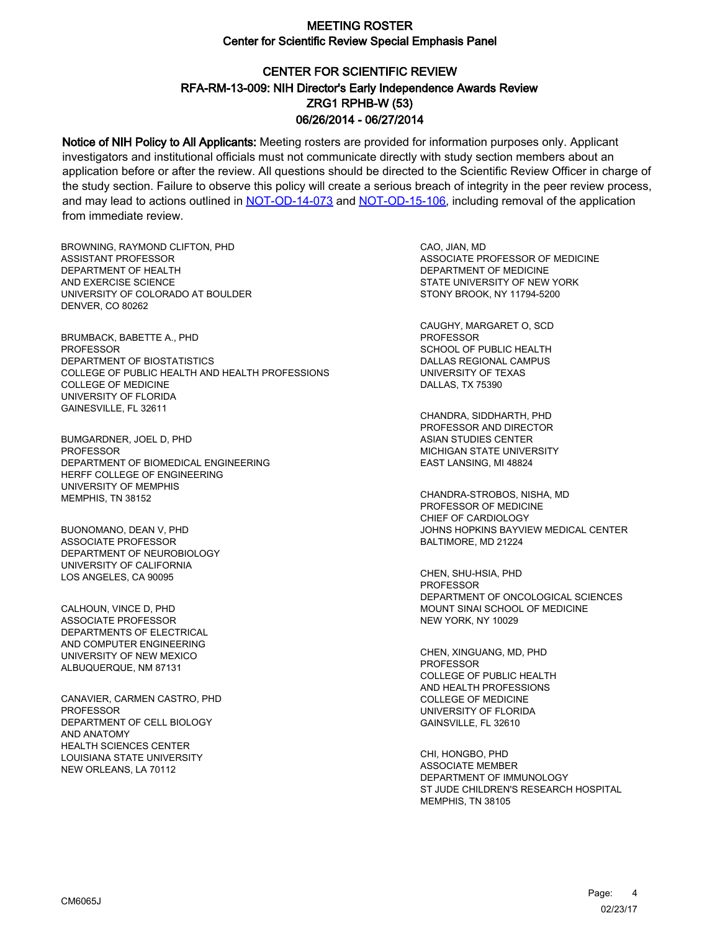# CENTER FOR SCIENTIFIC REVIEW ZRG1 RPHB-W (53) 06/26/2014 - 06/27/2014 RFA-RM-13-009: NIH Director's Early Independence Awards Review

Notice of NIH Policy to All Applicants: Meeting rosters are provided for information purposes only. Applicant investigators and institutional officials must not communicate directly with study section members about an application before or after the review. All questions should be directed to the Scientific Review Officer in charge of the study section. Failure to observe this policy will create a serious breach of integrity in the peer review process, and may lead to actions outlined in [NOT-OD-14-073](https://grants.nih.gov/grants/guide/notice-files/NOT-OD-14-073.html) and [NOT-OD-15-106,](https://grants.nih.gov/grants/guide/notice-files/NOT-OD-15-106.html) including removal of the application from immediate review.

BROWNING, RAYMOND CLIFTON, PHD ASSISTANT PROFESSOR DEPARTMENT OF HEALTH AND EXERCISE SCIENCE UNIVERSITY OF COLORADO AT BOULDER DENVER, CO 80262

BRUMBACK, BABETTE A., PHD PROFESSOR DEPARTMENT OF BIOSTATISTICS COLLEGE OF PUBLIC HEALTH AND HEALTH PROFESSIONS COLLEGE OF MEDICINE UNIVERSITY OF FLORIDA GAINESVILLE, FL 32611

BUMGARDNER, JOEL D, PHD **PROFESSOR** DEPARTMENT OF BIOMEDICAL ENGINEERING HERFF COLLEGE OF ENGINEERING UNIVERSITY OF MEMPHIS MEMPHIS, TN 38152

BUONOMANO, DEAN V, PHD ASSOCIATE PROFESSOR DEPARTMENT OF NEUROBIOLOGY UNIVERSITY OF CALIFORNIA LOS ANGELES, CA 90095

CALHOUN, VINCE D, PHD ASSOCIATE PROFESSOR DEPARTMENTS OF ELECTRICAL AND COMPUTER ENGINEERING UNIVERSITY OF NEW MEXICO ALBUQUERQUE, NM 87131

CANAVIER, CARMEN CASTRO, PHD **PROFESSOR** DEPARTMENT OF CELL BIOLOGY AND ANATOMY HEALTH SCIENCES CENTER LOUISIANA STATE UNIVERSITY NEW ORLEANS, LA 70112

CAO, JIAN, MD ASSOCIATE PROFESSOR OF MEDICINE DEPARTMENT OF MEDICINE STATE UNIVERSITY OF NEW YORK STONY BROOK, NY 11794-5200

CAUGHY, MARGARET O, SCD PROFESSOR SCHOOL OF PUBLIC HEALTH DALLAS REGIONAL CAMPUS UNIVERSITY OF TEXAS DALLAS, TX 75390

CHANDRA, SIDDHARTH, PHD PROFESSOR AND DIRECTOR ASIAN STUDIES CENTER MICHIGAN STATE UNIVERSITY EAST LANSING, MI 48824

CHANDRA-STROBOS, NISHA, MD PROFESSOR OF MEDICINE CHIEF OF CARDIOLOGY JOHNS HOPKINS BAYVIEW MEDICAL CENTER BALTIMORE, MD 21224

CHEN, SHU-HSIA, PHD PROFESSOR DEPARTMENT OF ONCOLOGICAL SCIENCES MOUNT SINAI SCHOOL OF MEDICINE NEW YORK, NY 10029

CHEN, XINGUANG, MD, PHD PROFESSOR COLLEGE OF PUBLIC HEALTH AND HEALTH PROFESSIONS COLLEGE OF MEDICINE UNIVERSITY OF FLORIDA GAINSVILLE, FL 32610

CHI, HONGBO, PHD ASSOCIATE MEMBER DEPARTMENT OF IMMUNOLOGY ST JUDE CHILDREN'S RESEARCH HOSPITAL MEMPHIS, TN 38105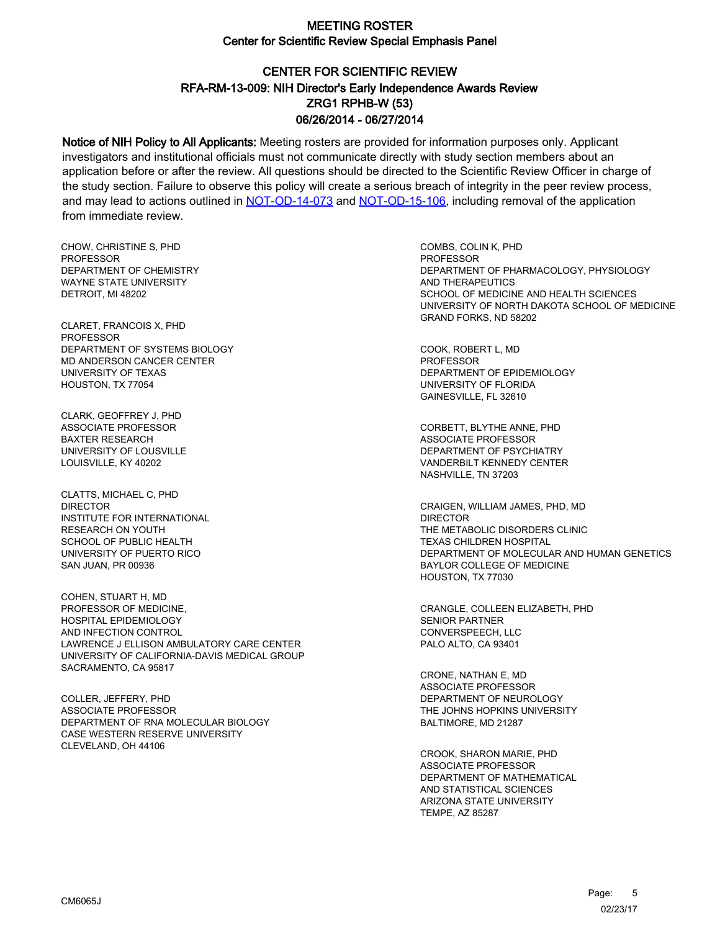# CENTER FOR SCIENTIFIC REVIEW ZRG1 RPHB-W (53) 06/26/2014 - 06/27/2014 RFA-RM-13-009: NIH Director's Early Independence Awards Review

Notice of NIH Policy to All Applicants: Meeting rosters are provided for information purposes only. Applicant investigators and institutional officials must not communicate directly with study section members about an application before or after the review. All questions should be directed to the Scientific Review Officer in charge of the study section. Failure to observe this policy will create a serious breach of integrity in the peer review process, and may lead to actions outlined in [NOT-OD-14-073](https://grants.nih.gov/grants/guide/notice-files/NOT-OD-14-073.html) and [NOT-OD-15-106,](https://grants.nih.gov/grants/guide/notice-files/NOT-OD-15-106.html) including removal of the application from immediate review.

CHOW, CHRISTINE S, PHD **PROFESSOR** DEPARTMENT OF CHEMISTRY WAYNE STATE UNIVERSITY DETROIT, MI 48202

CLARET, FRANCOIS X, PHD PROFESSOR DEPARTMENT OF SYSTEMS BIOLOGY MD ANDERSON CANCER CENTER UNIVERSITY OF TEXAS HOUSTON, TX 77054

CLARK, GEOFFREY J, PHD ASSOCIATE PROFESSOR BAXTER RESEARCH UNIVERSITY OF LOUSVILLE LOUISVILLE, KY 40202

CLATTS, MICHAEL C, PHD DIRECTOR INSTITUTE FOR INTERNATIONAL RESEARCH ON YOUTH SCHOOL OF PUBLIC HEALTH UNIVERSITY OF PUERTO RICO SAN JUAN, PR 00936

COHEN, STUART H, MD PROFESSOR OF MEDICINE, HOSPITAL EPIDEMIOLOGY AND INFECTION CONTROL LAWRENCE J ELLISON AMBULATORY CARE CENTER UNIVERSITY OF CALIFORNIA-DAVIS MEDICAL GROUP SACRAMENTO, CA 95817

COLLER, JEFFERY, PHD ASSOCIATE PROFESSOR DEPARTMENT OF RNA MOLECULAR BIOLOGY CASE WESTERN RESERVE UNIVERSITY CLEVELAND, OH 44106

COMBS, COLIN K, PHD **PROFESSOR** DEPARTMENT OF PHARMACOLOGY, PHYSIOLOGY AND THERAPEUTICS SCHOOL OF MEDICINE AND HEALTH SCIENCES UNIVERSITY OF NORTH DAKOTA SCHOOL OF MEDICINE GRAND FORKS, ND 58202

COOK, ROBERT L, MD PROFESSOR DEPARTMENT OF EPIDEMIOLOGY UNIVERSITY OF FLORIDA GAINESVILLE, FL 32610

CORBETT, BLYTHE ANNE, PHD ASSOCIATE PROFESSOR DEPARTMENT OF PSYCHIATRY VANDERBILT KENNEDY CENTER NASHVILLE, TN 37203

CRAIGEN, WILLIAM JAMES, PHD, MD DIRECTOR THE METABOLIC DISORDERS CLINIC TEXAS CHILDREN HOSPITAL DEPARTMENT OF MOLECULAR AND HUMAN GENETICS BAYLOR COLLEGE OF MEDICINE HOUSTON, TX 77030

CRANGLE, COLLEEN ELIZABETH, PHD SENIOR PARTNER CONVERSPEECH, LLC PALO ALTO, CA 93401

CRONE, NATHAN E, MD ASSOCIATE PROFESSOR DEPARTMENT OF NEUROLOGY THE JOHNS HOPKINS UNIVERSITY BALTIMORE, MD 21287

CROOK, SHARON MARIE, PHD ASSOCIATE PROFESSOR DEPARTMENT OF MATHEMATICAL AND STATISTICAL SCIENCES ARIZONA STATE UNIVERSITY TEMPE, AZ 85287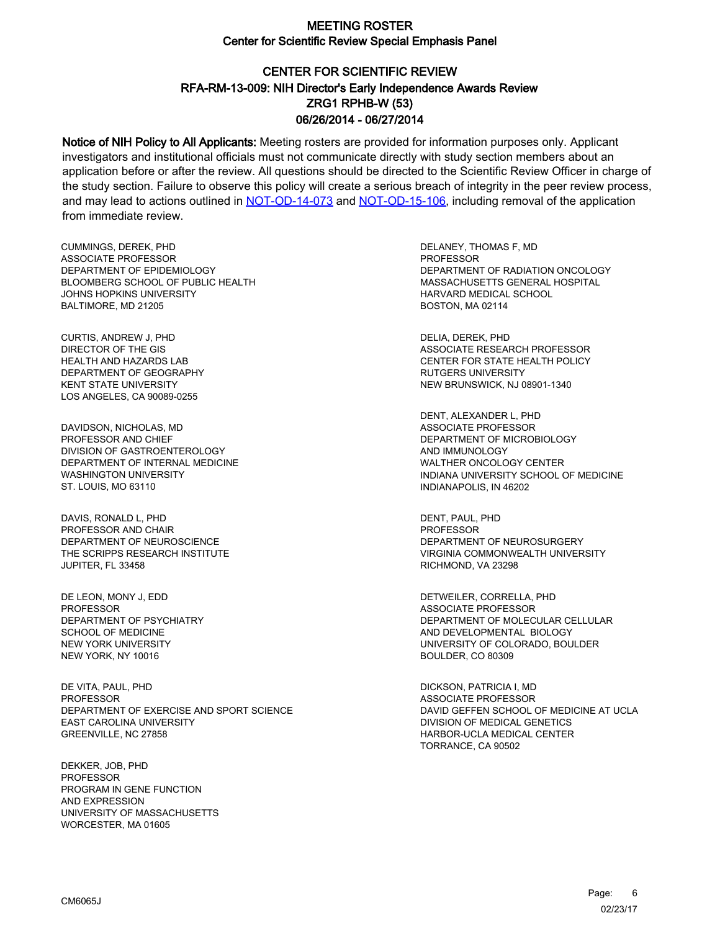# CENTER FOR SCIENTIFIC REVIEW ZRG1 RPHB-W (53) 06/26/2014 - 06/27/2014 RFA-RM-13-009: NIH Director's Early Independence Awards Review

Notice of NIH Policy to All Applicants: Meeting rosters are provided for information purposes only. Applicant investigators and institutional officials must not communicate directly with study section members about an application before or after the review. All questions should be directed to the Scientific Review Officer in charge of the study section. Failure to observe this policy will create a serious breach of integrity in the peer review process, and may lead to actions outlined in [NOT-OD-14-073](https://grants.nih.gov/grants/guide/notice-files/NOT-OD-14-073.html) and [NOT-OD-15-106,](https://grants.nih.gov/grants/guide/notice-files/NOT-OD-15-106.html) including removal of the application from immediate review.

CUMMINGS, DEREK, PHD ASSOCIATE PROFESSOR DEPARTMENT OF EPIDEMIOLOGY BLOOMBERG SCHOOL OF PUBLIC HEALTH JOHNS HOPKINS UNIVERSITY BALTIMORE, MD 21205

CURTIS, ANDREW J, PHD DIRECTOR OF THE GIS HEALTH AND HAZARDS LAB DEPARTMENT OF GEOGRAPHY KENT STATE UNIVERSITY LOS ANGELES, CA 90089-0255

DAVIDSON, NICHOLAS, MD PROFESSOR AND CHIEF DIVISION OF GASTROENTEROLOGY DEPARTMENT OF INTERNAL MEDICINE WASHINGTON UNIVERSITY ST. LOUIS, MO 63110

DAVIS, RONALD L, PHD PROFESSOR AND CHAIR DEPARTMENT OF NEUROSCIENCE THE SCRIPPS RESEARCH INSTITUTE JUPITER, FL 33458

DE LEON, MONY J, EDD PROFESSOR DEPARTMENT OF PSYCHIATRY SCHOOL OF MEDICINE NEW YORK UNIVERSITY NEW YORK, NY 10016

DE VITA, PAUL, PHD PROFESSOR DEPARTMENT OF EXERCISE AND SPORT SCIENCE EAST CAROLINA UNIVERSITY GREENVILLE, NC 27858

DEKKER, JOB, PHD PROFESSOR PROGRAM IN GENE FUNCTION AND EXPRESSION UNIVERSITY OF MASSACHUSETTS WORCESTER, MA 01605

DELANEY, THOMAS F, MD PROFESSOR DEPARTMENT OF RADIATION ONCOLOGY MASSACHUSETTS GENERAL HOSPITAL HARVARD MEDICAL SCHOOL BOSTON, MA 02114

DELIA, DEREK, PHD ASSOCIATE RESEARCH PROFESSOR CENTER FOR STATE HEALTH POLICY RUTGERS UNIVERSITY NEW BRUNSWICK, NJ 08901-1340

DENT, ALEXANDER L, PHD ASSOCIATE PROFESSOR DEPARTMENT OF MICROBIOLOGY AND IMMUNOLOGY WALTHER ONCOLOGY CENTER INDIANA UNIVERSITY SCHOOL OF MEDICINE INDIANAPOLIS, IN 46202

DENT, PAUL, PHD **PROFESSOR** DEPARTMENT OF NEUROSURGERY VIRGINIA COMMONWEALTH UNIVERSITY RICHMOND, VA 23298

DETWEILER, CORRELLA, PHD ASSOCIATE PROFESSOR DEPARTMENT OF MOLECULAR CELLULAR AND DEVELOPMENTAL BIOLOGY UNIVERSITY OF COLORADO, BOULDER BOULDER, CO 80309

DICKSON, PATRICIA I, MD ASSOCIATE PROFESSOR DAVID GEFFEN SCHOOL OF MEDICINE AT UCLA DIVISION OF MEDICAL GENETICS HARBOR-UCLA MEDICAL CENTER TORRANCE, CA 90502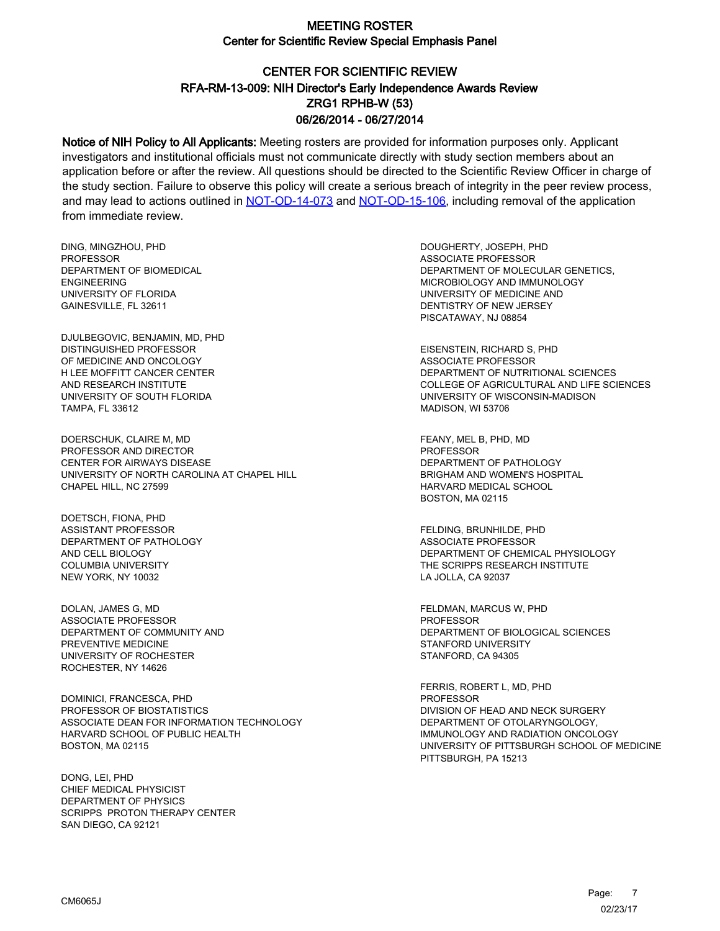# CENTER FOR SCIENTIFIC REVIEW ZRG1 RPHB-W (53) 06/26/2014 - 06/27/2014 RFA-RM-13-009: NIH Director's Early Independence Awards Review

Notice of NIH Policy to All Applicants: Meeting rosters are provided for information purposes only. Applicant investigators and institutional officials must not communicate directly with study section members about an application before or after the review. All questions should be directed to the Scientific Review Officer in charge of the study section. Failure to observe this policy will create a serious breach of integrity in the peer review process, and may lead to actions outlined in [NOT-OD-14-073](https://grants.nih.gov/grants/guide/notice-files/NOT-OD-14-073.html) and [NOT-OD-15-106,](https://grants.nih.gov/grants/guide/notice-files/NOT-OD-15-106.html) including removal of the application from immediate review.

DING, MINGZHOU, PHD **PROFESSOR** DEPARTMENT OF BIOMEDICAL ENGINEERING UNIVERSITY OF FLORIDA GAINESVILLE, FL 32611

DJULBEGOVIC, BENJAMIN, MD, PHD DISTINGUISHED PROFESSOR OF MEDICINE AND ONCOLOGY H LEE MOFFITT CANCER CENTER AND RESEARCH INSTITUTE UNIVERSITY OF SOUTH FLORIDA TAMPA, FL 33612

DOERSCHUK, CLAIRE M, MD PROFESSOR AND DIRECTOR CENTER FOR AIRWAYS DISEASE UNIVERSITY OF NORTH CAROLINA AT CHAPEL HILL CHAPEL HILL, NC 27599

DOETSCH, FIONA, PHD ASSISTANT PROFESSOR DEPARTMENT OF PATHOLOGY AND CELL BIOLOGY COLUMBIA UNIVERSITY NEW YORK, NY 10032

DOLAN, JAMES G, MD ASSOCIATE PROFESSOR DEPARTMENT OF COMMUNITY AND PREVENTIVE MEDICINE UNIVERSITY OF ROCHESTER ROCHESTER, NY 14626

DOMINICI, FRANCESCA, PHD PROFESSOR OF BIOSTATISTICS ASSOCIATE DEAN FOR INFORMATION TECHNOLOGY HARVARD SCHOOL OF PUBLIC HEALTH BOSTON, MA 02115

DONG, LEI, PHD CHIEF MEDICAL PHYSICIST DEPARTMENT OF PHYSICS SCRIPPS PROTON THERAPY CENTER SAN DIEGO, CA 92121

DOUGHERTY, JOSEPH, PHD ASSOCIATE PROFESSOR DEPARTMENT OF MOLECULAR GENETICS, MICROBIOLOGY AND IMMUNOLOGY UNIVERSITY OF MEDICINE AND DENTISTRY OF NEW JERSEY PISCATAWAY, NJ 08854

EISENSTEIN, RICHARD S, PHD ASSOCIATE PROFESSOR DEPARTMENT OF NUTRITIONAL SCIENCES COLLEGE OF AGRICULTURAL AND LIFE SCIENCES UNIVERSITY OF WISCONSIN-MADISON MADISON, WI 53706

FEANY, MEL B, PHD, MD **PROFESSOR** DEPARTMENT OF PATHOLOGY BRIGHAM AND WOMEN'S HOSPITAL HARVARD MEDICAL SCHOOL BOSTON, MA 02115

FELDING, BRUNHILDE, PHD ASSOCIATE PROFESSOR DEPARTMENT OF CHEMICAL PHYSIOLOGY THE SCRIPPS RESEARCH INSTITUTE LA JOLLA, CA 92037

FELDMAN, MARCUS W, PHD PROFESSOR DEPARTMENT OF BIOLOGICAL SCIENCES STANFORD UNIVERSITY STANFORD, CA 94305

FERRIS, ROBERT L, MD, PHD PROFESSOR DIVISION OF HEAD AND NECK SURGERY DEPARTMENT OF OTOLARYNGOLOGY, IMMUNOLOGY AND RADIATION ONCOLOGY UNIVERSITY OF PITTSBURGH SCHOOL OF MEDICINE PITTSBURGH, PA 15213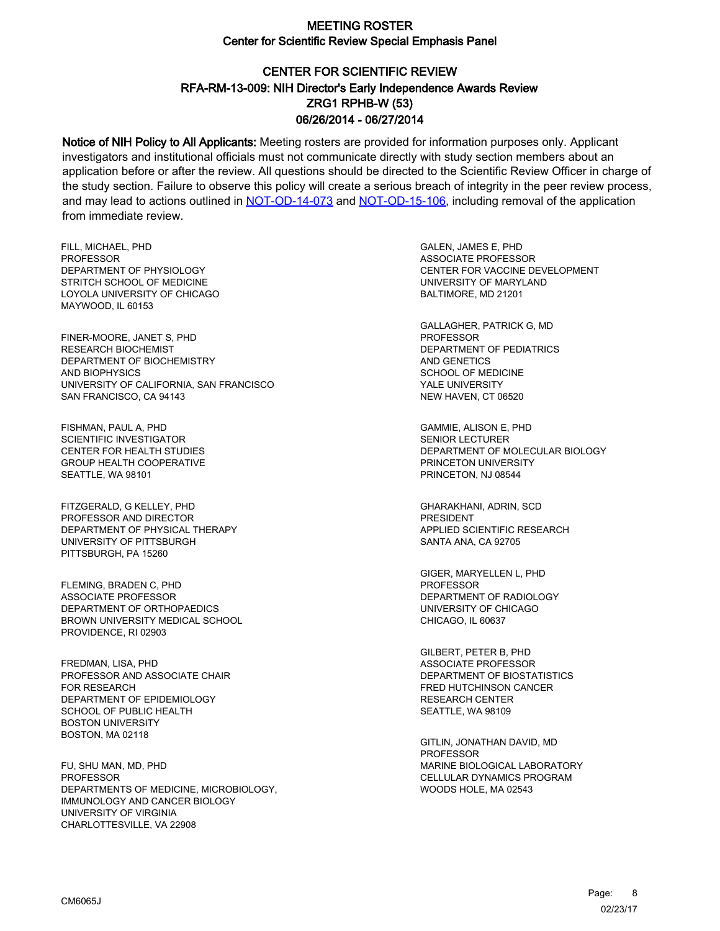# CENTER FOR SCIENTIFIC REVIEW ZRG1 RPHB-W (53) 06/26/2014 - 06/27/2014 RFA-RM-13-009: NIH Director's Early Independence Awards Review

Notice of NIH Policy to All Applicants: Meeting rosters are provided for information purposes only. Applicant investigators and institutional officials must not communicate directly with study section members about an application before or after the review. All questions should be directed to the Scientific Review Officer in charge of the study section. Failure to observe this policy will create a serious breach of integrity in the peer review process, and may lead to actions outlined in [NOT-OD-14-073](https://grants.nih.gov/grants/guide/notice-files/NOT-OD-14-073.html) and [NOT-OD-15-106,](https://grants.nih.gov/grants/guide/notice-files/NOT-OD-15-106.html) including removal of the application from immediate review.

FILL, MICHAEL, PHD PROFESSOR DEPARTMENT OF PHYSIOLOGY STRITCH SCHOOL OF MEDICINE LOYOLA UNIVERSITY OF CHICAGO MAYWOOD, IL 60153

FINER-MOORE, JANET S, PHD RESEARCH BIOCHEMIST DEPARTMENT OF BIOCHEMISTRY AND BIOPHYSICS UNIVERSITY OF CALIFORNIA, SAN FRANCISCO SAN FRANCISCO, CA 94143

FISHMAN, PAUL A, PHD SCIENTIFIC INVESTIGATOR CENTER FOR HEALTH STUDIES GROUP HEALTH COOPERATIVE SEATTLE, WA 98101

FITZGERALD, G KELLEY, PHD PROFESSOR AND DIRECTOR DEPARTMENT OF PHYSICAL THERAPY UNIVERSITY OF PITTSBURGH PITTSBURGH, PA 15260

FLEMING, BRADEN C, PHD ASSOCIATE PROFESSOR DEPARTMENT OF ORTHOPAEDICS BROWN UNIVERSITY MEDICAL SCHOOL PROVIDENCE, RI 02903

FREDMAN, LISA, PHD PROFESSOR AND ASSOCIATE CHAIR FOR RESEARCH DEPARTMENT OF EPIDEMIOLOGY SCHOOL OF PUBLIC HEALTH BOSTON UNIVERSITY BOSTON, MA 02118

FU, SHU MAN, MD, PHD PROFESSOR DEPARTMENTS OF MEDICINE, MICROBIOLOGY, IMMUNOLOGY AND CANCER BIOLOGY UNIVERSITY OF VIRGINIA CHARLOTTESVILLE, VA 22908

GALEN, JAMES E, PHD ASSOCIATE PROFESSOR CENTER FOR VACCINE DEVELOPMENT UNIVERSITY OF MARYLAND BALTIMORE, MD 21201

GALLAGHER, PATRICK G, MD PROFESSOR DEPARTMENT OF PEDIATRICS AND GENETICS SCHOOL OF MEDICINE YALE UNIVERSITY NEW HAVEN, CT 06520

GAMMIE, ALISON E, PHD SENIOR LECTURER DEPARTMENT OF MOLECULAR BIOLOGY PRINCETON UNIVERSITY PRINCETON, NJ 08544

GHARAKHANI, ADRIN, SCD PRESIDENT APPLIED SCIENTIFIC RESEARCH SANTA ANA, CA 92705

GIGER, MARYELLEN L, PHD PROFESSOR DEPARTMENT OF RADIOLOGY UNIVERSITY OF CHICAGO CHICAGO, IL 60637

GILBERT, PETER B, PHD ASSOCIATE PROFESSOR DEPARTMENT OF BIOSTATISTICS FRED HUTCHINSON CANCER RESEARCH CENTER SEATTLE, WA 98109

GITLIN, JONATHAN DAVID, MD PROFESSOR MARINE BIOLOGICAL LABORATORY CELLULAR DYNAMICS PROGRAM WOODS HOLE, MA 02543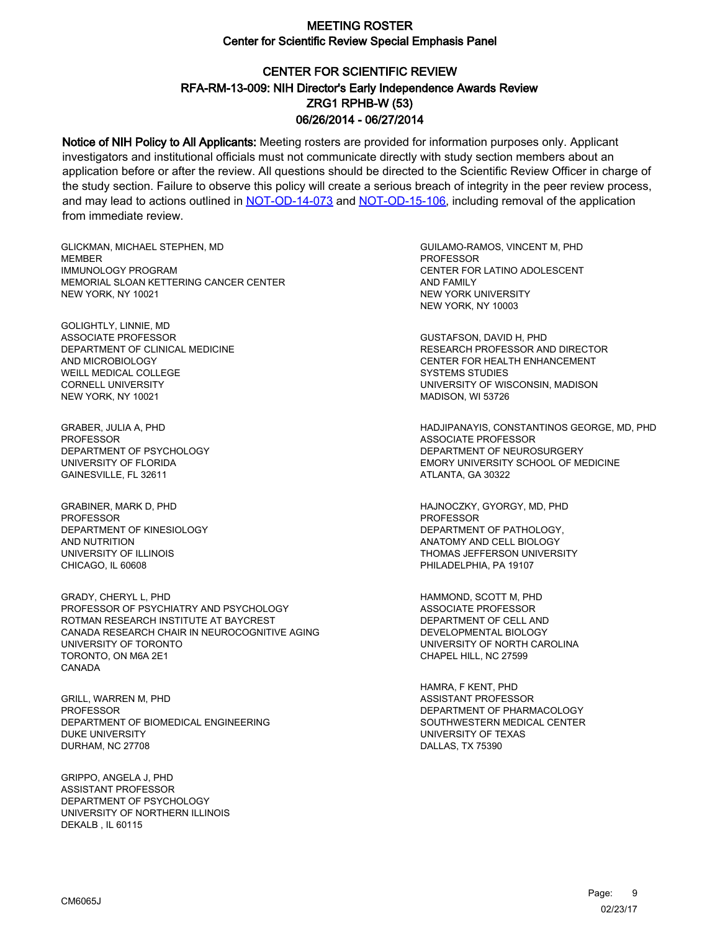# CENTER FOR SCIENTIFIC REVIEW ZRG1 RPHB-W (53) 06/26/2014 - 06/27/2014 RFA-RM-13-009: NIH Director's Early Independence Awards Review

Notice of NIH Policy to All Applicants: Meeting rosters are provided for information purposes only. Applicant investigators and institutional officials must not communicate directly with study section members about an application before or after the review. All questions should be directed to the Scientific Review Officer in charge of the study section. Failure to observe this policy will create a serious breach of integrity in the peer review process, and may lead to actions outlined in [NOT-OD-14-073](https://grants.nih.gov/grants/guide/notice-files/NOT-OD-14-073.html) and [NOT-OD-15-106,](https://grants.nih.gov/grants/guide/notice-files/NOT-OD-15-106.html) including removal of the application from immediate review.

GLICKMAN, MICHAEL STEPHEN, MD **MEMBER** IMMUNOLOGY PROGRAM MEMORIAL SLOAN KETTERING CANCER CENTER NEW YORK, NY 10021

GOLIGHTLY, LINNIE, MD ASSOCIATE PROFESSOR DEPARTMENT OF CLINICAL MEDICINE AND MICROBIOLOGY WEILL MEDICAL COLLEGE CORNELL UNIVERSITY NEW YORK, NY 10021

GRABER, JULIA A, PHD **PROFESSOR** DEPARTMENT OF PSYCHOLOGY UNIVERSITY OF FLORIDA GAINESVILLE, FL 32611

GRABINER, MARK D, PHD PROFESSOR DEPARTMENT OF KINESIOLOGY AND NUTRITION UNIVERSITY OF ILLINOIS CHICAGO, IL 60608

GRADY, CHERYL L, PHD PROFESSOR OF PSYCHIATRY AND PSYCHOLOGY ROTMAN RESEARCH INSTITUTE AT BAYCREST CANADA RESEARCH CHAIR IN NEUROCOGNITIVE AGING UNIVERSITY OF TORONTO TORONTO, ON M6A 2E1 CANADA

GRILL, WARREN M, PHD **PROFESSOR** DEPARTMENT OF BIOMEDICAL ENGINEERING DUKE UNIVERSITY DURHAM, NC 27708

GRIPPO, ANGELA J, PHD ASSISTANT PROFESSOR DEPARTMENT OF PSYCHOLOGY UNIVERSITY OF NORTHERN ILLINOIS DEKALB , IL 60115

GUILAMO-RAMOS, VINCENT M, PHD **PROFESSOR** CENTER FOR LATINO ADOLESCENT AND FAMILY NEW YORK UNIVERSITY NEW YORK, NY 10003

GUSTAFSON, DAVID H, PHD RESEARCH PROFESSOR AND DIRECTOR CENTER FOR HEALTH ENHANCEMENT SYSTEMS STUDIES UNIVERSITY OF WISCONSIN, MADISON MADISON, WI 53726

HADJIPANAYIS, CONSTANTINOS GEORGE, MD, PHD ASSOCIATE PROFESSOR DEPARTMENT OF NEUROSURGERY EMORY UNIVERSITY SCHOOL OF MEDICINE ATLANTA, GA 30322

HAJNOCZKY, GYORGY, MD, PHD PROFESSOR DEPARTMENT OF PATHOLOGY, ANATOMY AND CELL BIOLOGY THOMAS JEFFERSON UNIVERSITY PHILADELPHIA, PA 19107

HAMMOND, SCOTT M, PHD ASSOCIATE PROFESSOR DEPARTMENT OF CELL AND DEVELOPMENTAL BIOLOGY UNIVERSITY OF NORTH CAROLINA CHAPEL HILL, NC 27599

HAMRA, F KENT, PHD ASSISTANT PROFESSOR DEPARTMENT OF PHARMACOLOGY SOUTHWESTERN MEDICAL CENTER UNIVERSITY OF TEXAS DALLAS, TX 75390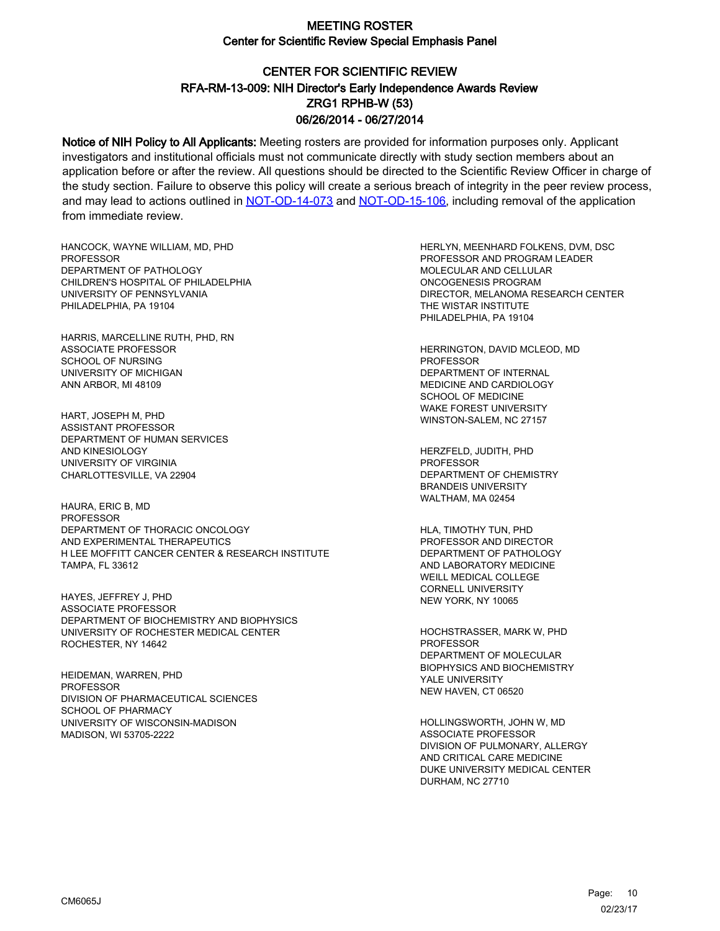# CENTER FOR SCIENTIFIC REVIEW ZRG1 RPHB-W (53) 06/26/2014 - 06/27/2014 RFA-RM-13-009: NIH Director's Early Independence Awards Review

Notice of NIH Policy to All Applicants: Meeting rosters are provided for information purposes only. Applicant investigators and institutional officials must not communicate directly with study section members about an application before or after the review. All questions should be directed to the Scientific Review Officer in charge of the study section. Failure to observe this policy will create a serious breach of integrity in the peer review process, and may lead to actions outlined in [NOT-OD-14-073](https://grants.nih.gov/grants/guide/notice-files/NOT-OD-14-073.html) and [NOT-OD-15-106,](https://grants.nih.gov/grants/guide/notice-files/NOT-OD-15-106.html) including removal of the application from immediate review.

HANCOCK, WAYNE WILLIAM, MD, PHD PROFESSOR DEPARTMENT OF PATHOLOGY CHILDREN'S HOSPITAL OF PHILADELPHIA UNIVERSITY OF PENNSYLVANIA PHILADELPHIA, PA 19104

HARRIS, MARCELLINE RUTH, PHD, RN ASSOCIATE PROFESSOR SCHOOL OF NURSING UNIVERSITY OF MICHIGAN ANN ARBOR, MI 48109

HART, JOSEPH M, PHD ASSISTANT PROFESSOR DEPARTMENT OF HUMAN SERVICES AND KINESIOLOGY UNIVERSITY OF VIRGINIA CHARLOTTESVILLE, VA 22904

HAURA, ERIC B, MD PROFESSOR DEPARTMENT OF THORACIC ONCOLOGY AND EXPERIMENTAL THERAPEUTICS H LEE MOFFITT CANCER CENTER & RESEARCH INSTITUTE TAMPA, FL 33612

HAYES, JEFFREY J, PHD ASSOCIATE PROFESSOR DEPARTMENT OF BIOCHEMISTRY AND BIOPHYSICS UNIVERSITY OF ROCHESTER MEDICAL CENTER ROCHESTER, NY 14642

HEIDEMAN, WARREN, PHD PROFESSOR DIVISION OF PHARMACEUTICAL SCIENCES SCHOOL OF PHARMACY UNIVERSITY OF WISCONSIN-MADISON MADISON, WI 53705-2222

HERLYN, MEENHARD FOLKENS, DVM, DSC PROFESSOR AND PROGRAM LEADER MOLECULAR AND CELLULAR ONCOGENESIS PROGRAM DIRECTOR, MELANOMA RESEARCH CENTER THE WISTAR INSTITUTE PHILADELPHIA, PA 19104

HERRINGTON, DAVID MCLEOD, MD PROFESSOR DEPARTMENT OF INTERNAL MEDICINE AND CARDIOLOGY SCHOOL OF MEDICINE WAKE FOREST UNIVERSITY WINSTON-SALEM, NC 27157

HERZFELD, JUDITH, PHD PROFESSOR DEPARTMENT OF CHEMISTRY BRANDEIS UNIVERSITY WALTHAM, MA 02454

HLA, TIMOTHY TUN, PHD PROFESSOR AND DIRECTOR DEPARTMENT OF PATHOLOGY AND LABORATORY MEDICINE WEILL MEDICAL COLLEGE CORNELL UNIVERSITY NEW YORK, NY 10065

HOCHSTRASSER, MARK W, PHD PROFESSOR DEPARTMENT OF MOLECULAR BIOPHYSICS AND BIOCHEMISTRY YALE UNIVERSITY NEW HAVEN, CT 06520

HOLLINGSWORTH, JOHN W, MD ASSOCIATE PROFESSOR DIVISION OF PULMONARY, ALLERGY AND CRITICAL CARE MEDICINE DUKE UNIVERSITY MEDICAL CENTER DURHAM, NC 27710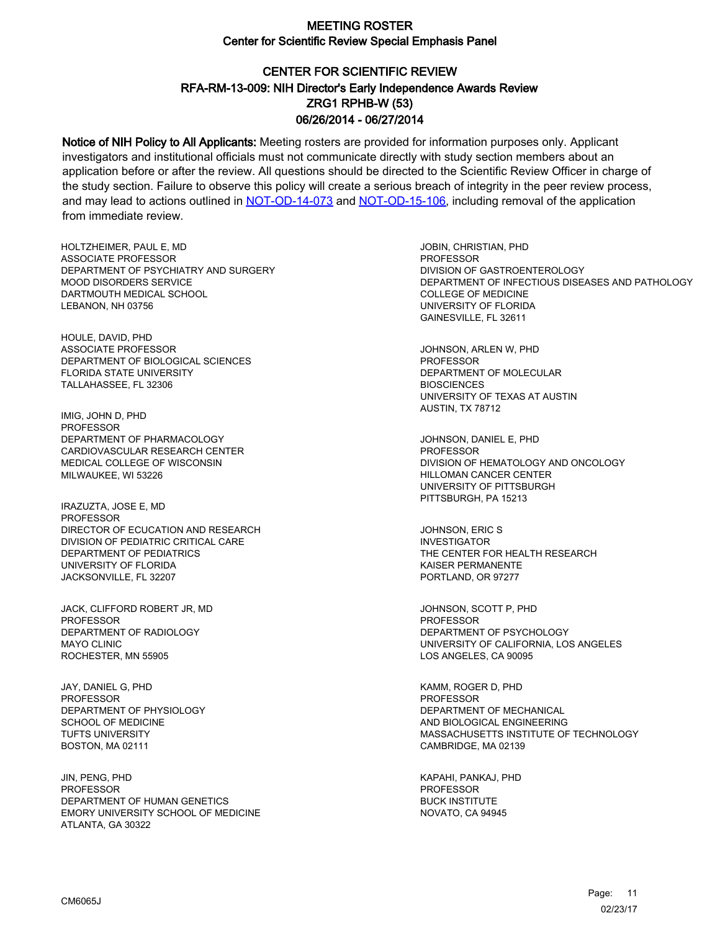# CENTER FOR SCIENTIFIC REVIEW ZRG1 RPHB-W (53) 06/26/2014 - 06/27/2014 RFA-RM-13-009: NIH Director's Early Independence Awards Review

Notice of NIH Policy to All Applicants: Meeting rosters are provided for information purposes only. Applicant investigators and institutional officials must not communicate directly with study section members about an application before or after the review. All questions should be directed to the Scientific Review Officer in charge of the study section. Failure to observe this policy will create a serious breach of integrity in the peer review process, and may lead to actions outlined in [NOT-OD-14-073](https://grants.nih.gov/grants/guide/notice-files/NOT-OD-14-073.html) and [NOT-OD-15-106,](https://grants.nih.gov/grants/guide/notice-files/NOT-OD-15-106.html) including removal of the application from immediate review.

HOLTZHEIMER, PAUL E, MD ASSOCIATE PROFESSOR DEPARTMENT OF PSYCHIATRY AND SURGERY MOOD DISORDERS SERVICE DARTMOUTH MEDICAL SCHOOL LEBANON, NH 03756

HOULE, DAVID, PHD ASSOCIATE PROFESSOR DEPARTMENT OF BIOLOGICAL SCIENCES FLORIDA STATE UNIVERSITY TALLAHASSEE, FL 32306

IMIG, JOHN D, PHD PROFESSOR DEPARTMENT OF PHARMACOLOGY CARDIOVASCULAR RESEARCH CENTER MEDICAL COLLEGE OF WISCONSIN MILWAUKEE, WI 53226

IRAZUZTA, JOSE E, MD PROFESSOR DIRECTOR OF ECUCATION AND RESEARCH DIVISION OF PEDIATRIC CRITICAL CARE DEPARTMENT OF PEDIATRICS UNIVERSITY OF FLORIDA JACKSONVILLE, FL 32207

JACK, CLIFFORD ROBERT JR, MD PROFESSOR DEPARTMENT OF RADIOLOGY MAYO CLINIC ROCHESTER, MN 55905

JAY, DANIEL G, PHD PROFESSOR DEPARTMENT OF PHYSIOLOGY SCHOOL OF MEDICINE TUFTS UNIVERSITY BOSTON, MA 02111

JIN, PENG, PHD PROFESSOR DEPARTMENT OF HUMAN GENETICS EMORY UNIVERSITY SCHOOL OF MEDICINE ATLANTA, GA 30322

JOBIN, CHRISTIAN, PHD PROFESSOR DIVISION OF GASTROENTEROLOGY DEPARTMENT OF INFECTIOUS DISEASES AND PATHOLOGY COLLEGE OF MEDICINE UNIVERSITY OF FLORIDA GAINESVILLE, FL 32611

JOHNSON, ARLEN W, PHD PROFESSOR DEPARTMENT OF MOLECULAR **BIOSCIENCES** UNIVERSITY OF TEXAS AT AUSTIN AUSTIN, TX 78712

JOHNSON, DANIEL E, PHD **PROFESSOR** DIVISION OF HEMATOLOGY AND ONCOLOGY HILLOMAN CANCER CENTER UNIVERSITY OF PITTSBURGH PITTSBURGH, PA 15213

JOHNSON, ERIC S INVESTIGATOR THE CENTER FOR HEALTH RESEARCH KAISER PERMANENTE PORTLAND, OR 97277

JOHNSON, SCOTT P, PHD PROFESSOR DEPARTMENT OF PSYCHOLOGY UNIVERSITY OF CALIFORNIA, LOS ANGELES LOS ANGELES, CA 90095

KAMM, ROGER D, PHD PROFESSOR DEPARTMENT OF MECHANICAL AND BIOLOGICAL ENGINEERING MASSACHUSETTS INSTITUTE OF TECHNOLOGY CAMBRIDGE, MA 02139

KAPAHI, PANKAJ, PHD PROFESSOR BUCK INSTITUTE NOVATO, CA 94945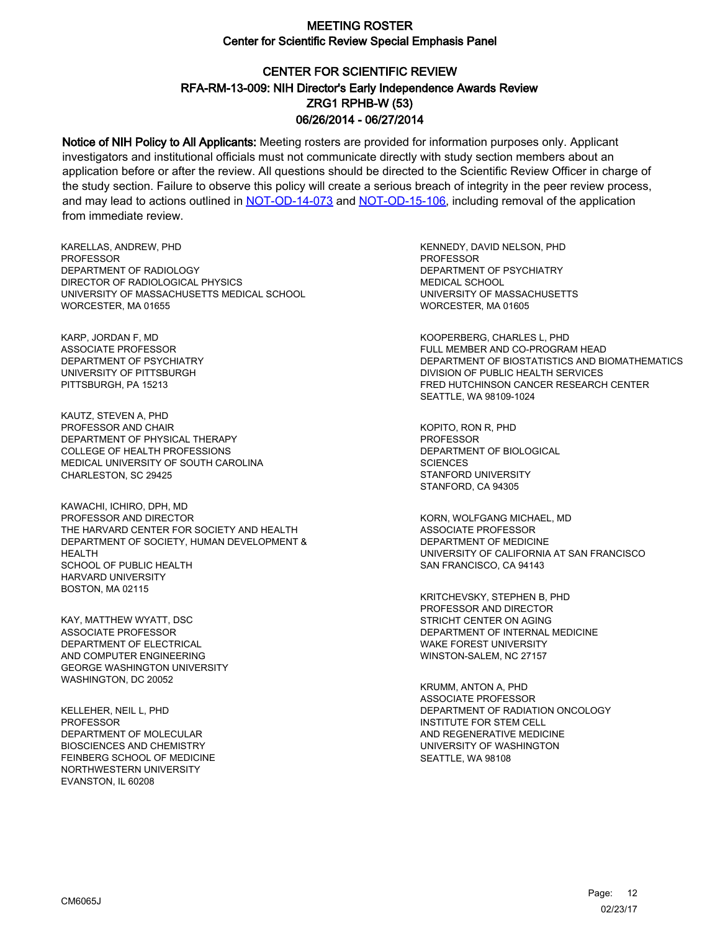# CENTER FOR SCIENTIFIC REVIEW ZRG1 RPHB-W (53) 06/26/2014 - 06/27/2014 RFA-RM-13-009: NIH Director's Early Independence Awards Review

Notice of NIH Policy to All Applicants: Meeting rosters are provided for information purposes only. Applicant investigators and institutional officials must not communicate directly with study section members about an application before or after the review. All questions should be directed to the Scientific Review Officer in charge of the study section. Failure to observe this policy will create a serious breach of integrity in the peer review process, and may lead to actions outlined in [NOT-OD-14-073](https://grants.nih.gov/grants/guide/notice-files/NOT-OD-14-073.html) and [NOT-OD-15-106,](https://grants.nih.gov/grants/guide/notice-files/NOT-OD-15-106.html) including removal of the application from immediate review.

KARELLAS, ANDREW, PHD PROFESSOR DEPARTMENT OF RADIOLOGY DIRECTOR OF RADIOLOGICAL PHYSICS UNIVERSITY OF MASSACHUSETTS MEDICAL SCHOOL WORCESTER, MA 01655

KARP, JORDAN F, MD ASSOCIATE PROFESSOR DEPARTMENT OF PSYCHIATRY UNIVERSITY OF PITTSBURGH PITTSBURGH, PA 15213

KAUTZ, STEVEN A, PHD PROFESSOR AND CHAIR DEPARTMENT OF PHYSICAL THERAPY COLLEGE OF HEALTH PROFESSIONS MEDICAL UNIVERSITY OF SOUTH CAROLINA CHARLESTON, SC 29425

KAWACHI, ICHIRO, DPH, MD PROFESSOR AND DIRECTOR THE HARVARD CENTER FOR SOCIETY AND HEALTH DEPARTMENT OF SOCIETY, HUMAN DEVELOPMENT & HEALTH SCHOOL OF PUBLIC HEALTH HARVARD UNIVERSITY BOSTON, MA 02115

KAY, MATTHEW WYATT, DSC ASSOCIATE PROFESSOR DEPARTMENT OF ELECTRICAL AND COMPUTER ENGINEERING GEORGE WASHINGTON UNIVERSITY WASHINGTON, DC 20052

KELLEHER, NEIL L, PHD PROFESSOR DEPARTMENT OF MOLECULAR BIOSCIENCES AND CHEMISTRY FEINBERG SCHOOL OF MEDICINE NORTHWESTERN UNIVERSITY EVANSTON, IL 60208

KENNEDY, DAVID NELSON, PHD PROFESSOR DEPARTMENT OF PSYCHIATRY MEDICAL SCHOOL UNIVERSITY OF MASSACHUSETTS WORCESTER, MA 01605

KOOPERBERG, CHARLES L, PHD FULL MEMBER AND CO-PROGRAM HEAD DEPARTMENT OF BIOSTATISTICS AND BIOMATHEMATICS DIVISION OF PUBLIC HEALTH SERVICES FRED HUTCHINSON CANCER RESEARCH CENTER SEATTLE, WA 98109-1024

KOPITO, RON R, PHD **PROFESSOR** DEPARTMENT OF BIOLOGICAL **SCIENCES** STANFORD UNIVERSITY STANFORD, CA 94305

KORN, WOLFGANG MICHAEL, MD ASSOCIATE PROFESSOR DEPARTMENT OF MEDICINE UNIVERSITY OF CALIFORNIA AT SAN FRANCISCO SAN FRANCISCO, CA 94143

KRITCHEVSKY, STEPHEN B, PHD PROFESSOR AND DIRECTOR STRICHT CENTER ON AGING DEPARTMENT OF INTERNAL MEDICINE WAKE FOREST UNIVERSITY WINSTON-SALEM, NC 27157

KRUMM, ANTON A, PHD ASSOCIATE PROFESSOR DEPARTMENT OF RADIATION ONCOLOGY INSTITUTE FOR STEM CELL AND REGENERATIVE MEDICINE UNIVERSITY OF WASHINGTON SEATTLE, WA 98108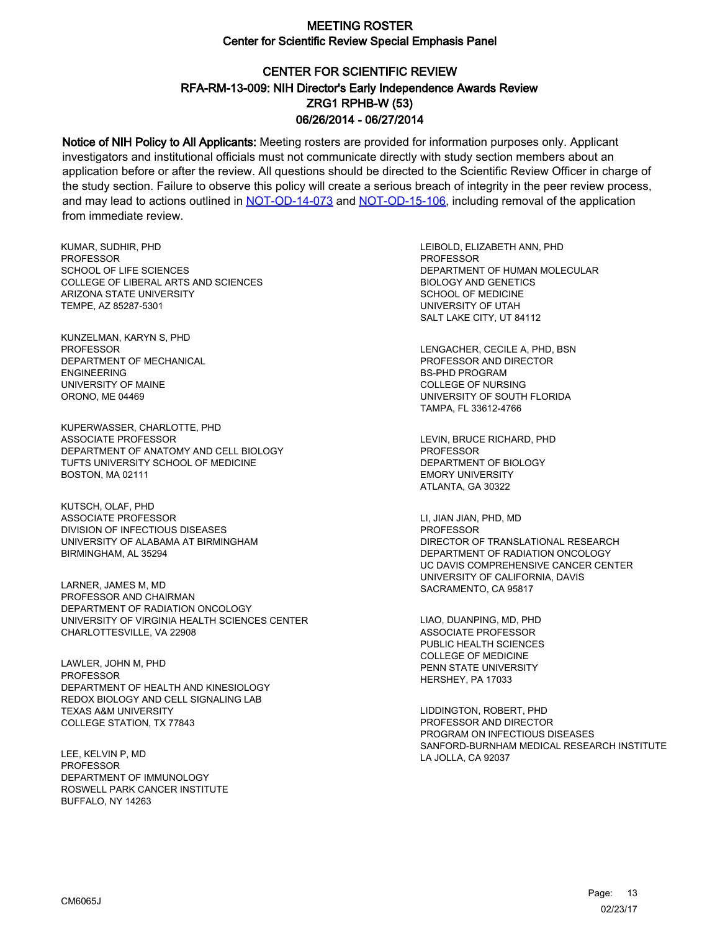# CENTER FOR SCIENTIFIC REVIEW ZRG1 RPHB-W (53) 06/26/2014 - 06/27/2014 RFA-RM-13-009: NIH Director's Early Independence Awards Review

Notice of NIH Policy to All Applicants: Meeting rosters are provided for information purposes only. Applicant investigators and institutional officials must not communicate directly with study section members about an application before or after the review. All questions should be directed to the Scientific Review Officer in charge of the study section. Failure to observe this policy will create a serious breach of integrity in the peer review process, and may lead to actions outlined in [NOT-OD-14-073](https://grants.nih.gov/grants/guide/notice-files/NOT-OD-14-073.html) and [NOT-OD-15-106,](https://grants.nih.gov/grants/guide/notice-files/NOT-OD-15-106.html) including removal of the application from immediate review.

KUMAR, SUDHIR, PHD PROFESSOR SCHOOL OF LIFE SCIENCES COLLEGE OF LIBERAL ARTS AND SCIENCES ARIZONA STATE UNIVERSITY TEMPE, AZ 85287-5301

KUNZELMAN, KARYN S, PHD PROFESSOR DEPARTMENT OF MECHANICAL ENGINEERING UNIVERSITY OF MAINE ORONO, ME 04469

KUPERWASSER, CHARLOTTE, PHD ASSOCIATE PROFESSOR DEPARTMENT OF ANATOMY AND CELL BIOLOGY TUFTS UNIVERSITY SCHOOL OF MEDICINE BOSTON, MA 02111

KUTSCH, OLAF, PHD ASSOCIATE PROFESSOR DIVISION OF INFECTIOUS DISEASES UNIVERSITY OF ALABAMA AT BIRMINGHAM BIRMINGHAM, AL 35294

LARNER, JAMES M, MD PROFESSOR AND CHAIRMAN DEPARTMENT OF RADIATION ONCOLOGY UNIVERSITY OF VIRGINIA HEALTH SCIENCES CENTER CHARLOTTESVILLE, VA 22908

LAWLER, JOHN M, PHD PROFESSOR DEPARTMENT OF HEALTH AND KINESIOLOGY REDOX BIOLOGY AND CELL SIGNALING LAB TEXAS A&M UNIVERSITY COLLEGE STATION, TX 77843

LEE, KELVIN P, MD **PROFESSOR** DEPARTMENT OF IMMUNOLOGY ROSWELL PARK CANCER INSTITUTE BUFFALO, NY 14263

LEIBOLD, ELIZABETH ANN, PHD **PROFESSOR** DEPARTMENT OF HUMAN MOLECULAR BIOLOGY AND GENETICS SCHOOL OF MEDICINE UNIVERSITY OF UTAH SALT LAKE CITY, UT 84112

LENGACHER, CECILE A, PHD, BSN PROFESSOR AND DIRECTOR BS-PHD PROGRAM COLLEGE OF NURSING UNIVERSITY OF SOUTH FLORIDA TAMPA, FL 33612-4766

LEVIN, BRUCE RICHARD, PHD **PROFESSOR** DEPARTMENT OF BIOLOGY EMORY UNIVERSITY ATLANTA, GA 30322

LI, JIAN JIAN, PHD, MD PROFESSOR DIRECTOR OF TRANSLATIONAL RESEARCH DEPARTMENT OF RADIATION ONCOLOGY UC DAVIS COMPREHENSIVE CANCER CENTER UNIVERSITY OF CALIFORNIA, DAVIS SACRAMENTO, CA 95817

LIAO, DUANPING, MD, PHD ASSOCIATE PROFESSOR PUBLIC HEALTH SCIENCES COLLEGE OF MEDICINE PENN STATE UNIVERSITY HERSHEY, PA 17033

LIDDINGTON, ROBERT, PHD PROFESSOR AND DIRECTOR PROGRAM ON INFECTIOUS DISEASES SANFORD-BURNHAM MEDICAL RESEARCH INSTITUTE LA JOLLA, CA 92037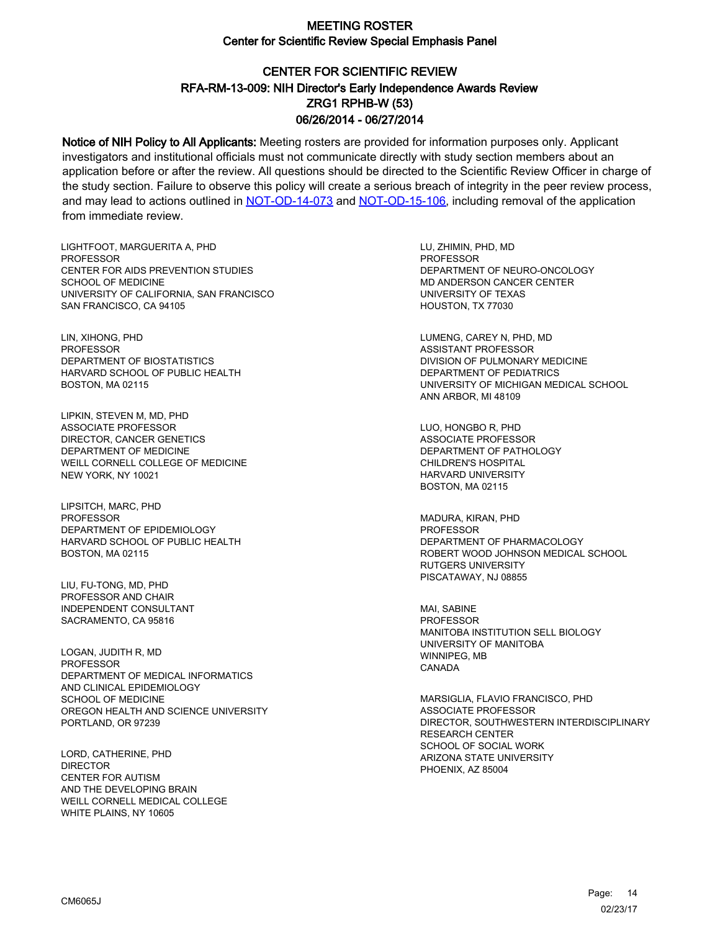# CENTER FOR SCIENTIFIC REVIEW ZRG1 RPHB-W (53) 06/26/2014 - 06/27/2014 RFA-RM-13-009: NIH Director's Early Independence Awards Review

Notice of NIH Policy to All Applicants: Meeting rosters are provided for information purposes only. Applicant investigators and institutional officials must not communicate directly with study section members about an application before or after the review. All questions should be directed to the Scientific Review Officer in charge of the study section. Failure to observe this policy will create a serious breach of integrity in the peer review process, and may lead to actions outlined in [NOT-OD-14-073](https://grants.nih.gov/grants/guide/notice-files/NOT-OD-14-073.html) and [NOT-OD-15-106,](https://grants.nih.gov/grants/guide/notice-files/NOT-OD-15-106.html) including removal of the application from immediate review.

LIGHTFOOT, MARGUERITA A, PHD PROFESSOR CENTER FOR AIDS PREVENTION STUDIES SCHOOL OF MEDICINE UNIVERSITY OF CALIFORNIA, SAN FRANCISCO SAN FRANCISCO, CA 94105

LIN, XIHONG, PHD PROFESSOR DEPARTMENT OF BIOSTATISTICS HARVARD SCHOOL OF PUBLIC HEALTH BOSTON, MA 02115

LIPKIN, STEVEN M, MD, PHD ASSOCIATE PROFESSOR DIRECTOR, CANCER GENETICS DEPARTMENT OF MEDICINE WEILL CORNELL COLLEGE OF MEDICINE NEW YORK, NY 10021

LIPSITCH, MARC, PHD PROFESSOR DEPARTMENT OF EPIDEMIOLOGY HARVARD SCHOOL OF PUBLIC HEALTH BOSTON, MA 02115

LIU, FU-TONG, MD, PHD PROFESSOR AND CHAIR INDEPENDENT CONSULTANT SACRAMENTO, CA 95816

LOGAN, JUDITH R, MD PROFESSOR DEPARTMENT OF MEDICAL INFORMATICS AND CLINICAL EPIDEMIOLOGY SCHOOL OF MEDICINE OREGON HEALTH AND SCIENCE UNIVERSITY PORTLAND, OR 97239

LORD, CATHERINE, PHD **DIRECTOR** CENTER FOR AUTISM AND THE DEVELOPING BRAIN WEILL CORNELL MEDICAL COLLEGE WHITE PLAINS, NY 10605

LU, ZHIMIN, PHD, MD PROFESSOR DEPARTMENT OF NEURO-ONCOLOGY MD ANDERSON CANCER CENTER UNIVERSITY OF TEXAS HOUSTON, TX 77030

LUMENG, CAREY N, PHD, MD ASSISTANT PROFESSOR DIVISION OF PULMONARY MEDICINE DEPARTMENT OF PEDIATRICS UNIVERSITY OF MICHIGAN MEDICAL SCHOOL ANN ARBOR, MI 48109

LUO, HONGBO R, PHD ASSOCIATE PROFESSOR DEPARTMENT OF PATHOLOGY CHILDREN'S HOSPITAL HARVARD UNIVERSITY BOSTON, MA 02115

MADURA, KIRAN, PHD PROFESSOR DEPARTMENT OF PHARMACOLOGY ROBERT WOOD JOHNSON MEDICAL SCHOOL RUTGERS UNIVERSITY PISCATAWAY, NJ 08855

MAI, SABINE PROFESSOR MANITOBA INSTITUTION SELL BIOLOGY UNIVERSITY OF MANITOBA WINNIPEG, MB CANADA

MARSIGLIA, FLAVIO FRANCISCO, PHD ASSOCIATE PROFESSOR DIRECTOR, SOUTHWESTERN INTERDISCIPLINARY RESEARCH CENTER SCHOOL OF SOCIAL WORK ARIZONA STATE UNIVERSITY PHOENIX, AZ 85004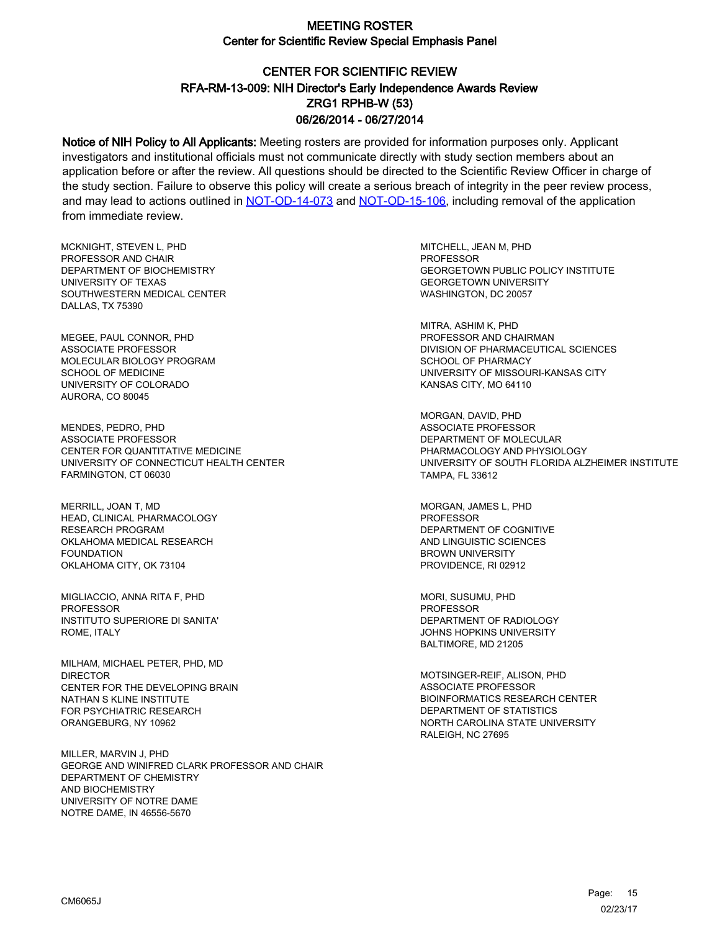# CENTER FOR SCIENTIFIC REVIEW ZRG1 RPHB-W (53) 06/26/2014 - 06/27/2014 RFA-RM-13-009: NIH Director's Early Independence Awards Review

Notice of NIH Policy to All Applicants: Meeting rosters are provided for information purposes only. Applicant investigators and institutional officials must not communicate directly with study section members about an application before or after the review. All questions should be directed to the Scientific Review Officer in charge of the study section. Failure to observe this policy will create a serious breach of integrity in the peer review process, and may lead to actions outlined in [NOT-OD-14-073](https://grants.nih.gov/grants/guide/notice-files/NOT-OD-14-073.html) and [NOT-OD-15-106,](https://grants.nih.gov/grants/guide/notice-files/NOT-OD-15-106.html) including removal of the application from immediate review.

MCKNIGHT, STEVEN L, PHD PROFESSOR AND CHAIR DEPARTMENT OF BIOCHEMISTRY UNIVERSITY OF TEXAS SOUTHWESTERN MEDICAL CENTER DALLAS, TX 75390

MEGEE, PAUL CONNOR, PHD ASSOCIATE PROFESSOR MOLECULAR BIOLOGY PROGRAM SCHOOL OF MEDICINE UNIVERSITY OF COLORADO AURORA, CO 80045

MENDES, PEDRO, PHD ASSOCIATE PROFESSOR CENTER FOR QUANTITATIVE MEDICINE UNIVERSITY OF CONNECTICUT HEALTH CENTER FARMINGTON, CT 06030

MERRILL, JOAN T, MD HEAD, CLINICAL PHARMACOLOGY RESEARCH PROGRAM OKLAHOMA MEDICAL RESEARCH FOUNDATION OKLAHOMA CITY, OK 73104

MIGLIACCIO, ANNA RITA F, PHD PROFESSOR INSTITUTO SUPERIORE DI SANITA' ROME, ITALY

MILHAM, MICHAEL PETER, PHD, MD DIRECTOR CENTER FOR THE DEVELOPING BRAIN NATHAN S KLINE INSTITUTE FOR PSYCHIATRIC RESEARCH ORANGEBURG, NY 10962

MILLER, MARVIN J, PHD GEORGE AND WINIFRED CLARK PROFESSOR AND CHAIR DEPARTMENT OF CHEMISTRY AND BIOCHEMISTRY UNIVERSITY OF NOTRE DAME NOTRE DAME, IN 46556-5670

MITCHELL, JEAN M, PHD PROFESSOR GEORGETOWN PUBLIC POLICY INSTITUTE GEORGETOWN UNIVERSITY WASHINGTON, DC 20057

MITRA, ASHIM K, PHD PROFESSOR AND CHAIRMAN DIVISION OF PHARMACEUTICAL SCIENCES SCHOOL OF PHARMACY UNIVERSITY OF MISSOURI-KANSAS CITY KANSAS CITY, MO 64110

MORGAN, DAVID, PHD ASSOCIATE PROFESSOR DEPARTMENT OF MOLECULAR PHARMACOLOGY AND PHYSIOLOGY UNIVERSITY OF SOUTH FLORIDA ALZHEIMER INSTITUTE TAMPA, FL 33612

MORGAN, JAMES L, PHD PROFESSOR DEPARTMENT OF COGNITIVE AND LINGUISTIC SCIENCES BROWN UNIVERSITY PROVIDENCE, RI 02912

MORI, SUSUMU, PHD PROFESSOR DEPARTMENT OF RADIOLOGY JOHNS HOPKINS UNIVERSITY BALTIMORE, MD 21205

MOTSINGER-REIF, ALISON, PHD ASSOCIATE PROFESSOR BIOINFORMATICS RESEARCH CENTER DEPARTMENT OF STATISTICS NORTH CAROLINA STATE UNIVERSITY RALEIGH, NC 27695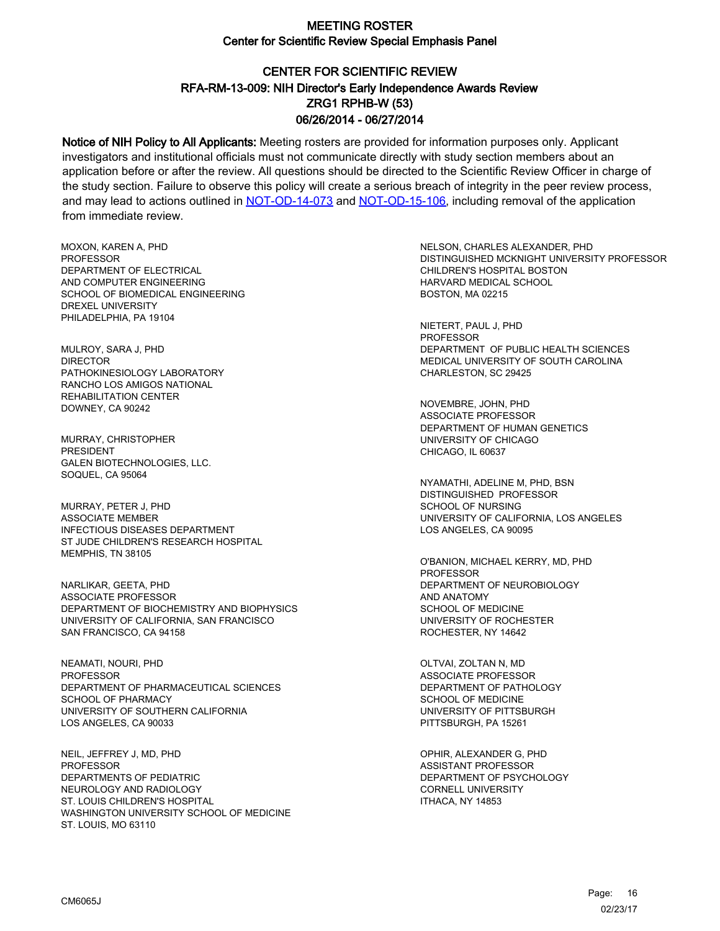# CENTER FOR SCIENTIFIC REVIEW ZRG1 RPHB-W (53) 06/26/2014 - 06/27/2014 RFA-RM-13-009: NIH Director's Early Independence Awards Review

Notice of NIH Policy to All Applicants: Meeting rosters are provided for information purposes only. Applicant investigators and institutional officials must not communicate directly with study section members about an application before or after the review. All questions should be directed to the Scientific Review Officer in charge of the study section. Failure to observe this policy will create a serious breach of integrity in the peer review process, and may lead to actions outlined in [NOT-OD-14-073](https://grants.nih.gov/grants/guide/notice-files/NOT-OD-14-073.html) and [NOT-OD-15-106,](https://grants.nih.gov/grants/guide/notice-files/NOT-OD-15-106.html) including removal of the application from immediate review.

MOXON, KAREN A, PHD **PROFESSOR** DEPARTMENT OF ELECTRICAL AND COMPUTER ENGINEERING SCHOOL OF BIOMEDICAL ENGINEERING DREXEL UNIVERSITY PHILADELPHIA, PA 19104

MULROY, SARA J, PHD DIRECTOR PATHOKINESIOLOGY LABORATORY RANCHO LOS AMIGOS NATIONAL REHABILITATION CENTER DOWNEY, CA 90242

MURRAY, CHRISTOPHER PRESIDENT GALEN BIOTECHNOLOGIES, LLC. SOQUEL, CA 95064

MURRAY, PETER J, PHD ASSOCIATE MEMBER INFECTIOUS DISEASES DEPARTMENT ST JUDE CHILDREN'S RESEARCH HOSPITAL MEMPHIS, TN 38105

NARLIKAR, GEETA, PHD ASSOCIATE PROFESSOR DEPARTMENT OF BIOCHEMISTRY AND BIOPHYSICS UNIVERSITY OF CALIFORNIA, SAN FRANCISCO SAN FRANCISCO, CA 94158

NEAMATI, NOURI, PHD **PROFESSOR** DEPARTMENT OF PHARMACEUTICAL SCIENCES SCHOOL OF PHARMACY UNIVERSITY OF SOUTHERN CALIFORNIA LOS ANGELES, CA 90033

NEIL, JEFFREY J, MD, PHD PROFESSOR DEPARTMENTS OF PEDIATRIC NEUROLOGY AND RADIOLOGY ST. LOUIS CHILDREN'S HOSPITAL WASHINGTON UNIVERSITY SCHOOL OF MEDICINE ST. LOUIS, MO 63110

NELSON, CHARLES ALEXANDER, PHD DISTINGUISHED MCKNIGHT UNIVERSITY PROFESSOR CHILDREN'S HOSPITAL BOSTON HARVARD MEDICAL SCHOOL BOSTON, MA 02215

NIETERT, PAUL J, PHD PROFESSOR DEPARTMENT OF PUBLIC HEALTH SCIENCES MEDICAL UNIVERSITY OF SOUTH CAROLINA CHARLESTON, SC 29425

NOVEMBRE, JOHN, PHD ASSOCIATE PROFESSOR DEPARTMENT OF HUMAN GENETICS UNIVERSITY OF CHICAGO CHICAGO, IL 60637

NYAMATHI, ADELINE M, PHD, BSN DISTINGUISHED PROFESSOR SCHOOL OF NURSING UNIVERSITY OF CALIFORNIA, LOS ANGELES LOS ANGELES, CA 90095

O'BANION, MICHAEL KERRY, MD, PHD PROFESSOR DEPARTMENT OF NEUROBIOLOGY AND ANATOMY SCHOOL OF MEDICINE UNIVERSITY OF ROCHESTER ROCHESTER, NY 14642

OLTVAI, ZOLTAN N, MD ASSOCIATE PROFESSOR DEPARTMENT OF PATHOLOGY SCHOOL OF MEDICINE UNIVERSITY OF PITTSBURGH PITTSBURGH, PA 15261

OPHIR, ALEXANDER G, PHD ASSISTANT PROFESSOR DEPARTMENT OF PSYCHOLOGY CORNELL UNIVERSITY ITHACA, NY 14853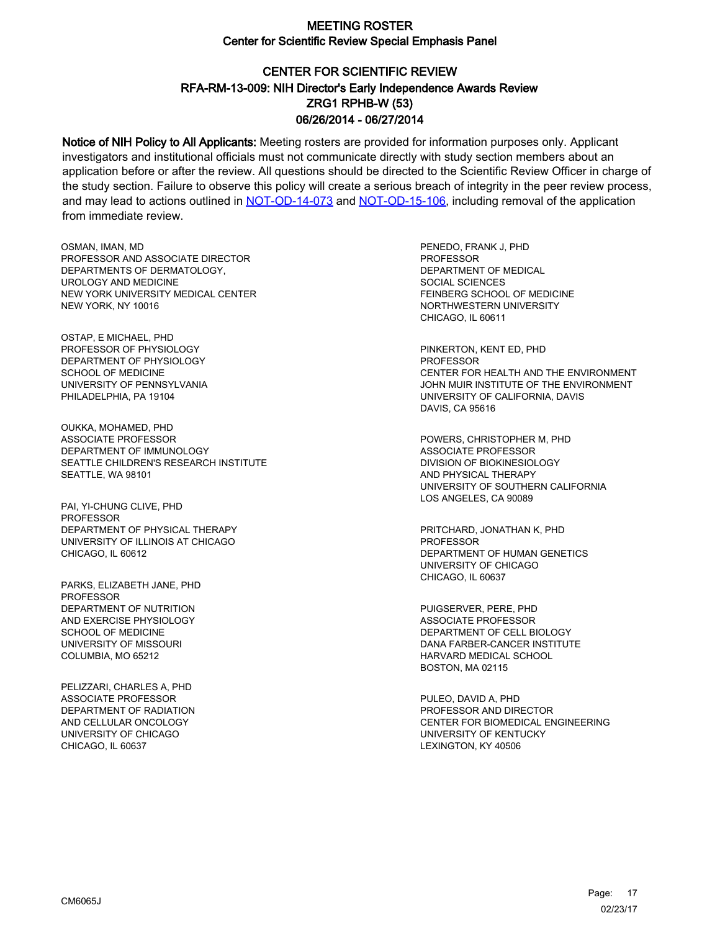# CENTER FOR SCIENTIFIC REVIEW ZRG1 RPHB-W (53) 06/26/2014 - 06/27/2014 RFA-RM-13-009: NIH Director's Early Independence Awards Review

Notice of NIH Policy to All Applicants: Meeting rosters are provided for information purposes only. Applicant investigators and institutional officials must not communicate directly with study section members about an application before or after the review. All questions should be directed to the Scientific Review Officer in charge of the study section. Failure to observe this policy will create a serious breach of integrity in the peer review process, and may lead to actions outlined in [NOT-OD-14-073](https://grants.nih.gov/grants/guide/notice-files/NOT-OD-14-073.html) and [NOT-OD-15-106,](https://grants.nih.gov/grants/guide/notice-files/NOT-OD-15-106.html) including removal of the application from immediate review.

OSMAN, IMAN, MD PROFESSOR AND ASSOCIATE DIRECTOR DEPARTMENTS OF DERMATOLOGY, UROLOGY AND MEDICINE NEW YORK UNIVERSITY MEDICAL CENTER NEW YORK, NY 10016

OSTAP, E MICHAEL, PHD PROFESSOR OF PHYSIOLOGY DEPARTMENT OF PHYSIOLOGY SCHOOL OF MEDICINE UNIVERSITY OF PENNSYLVANIA PHILADELPHIA, PA 19104

OUKKA, MOHAMED, PHD ASSOCIATE PROFESSOR DEPARTMENT OF IMMUNOLOGY SEATTLE CHILDREN'S RESEARCH INSTITUTE SEATTLE, WA 98101

PAI, YI-CHUNG CLIVE, PHD PROFESSOR DEPARTMENT OF PHYSICAL THERAPY UNIVERSITY OF ILLINOIS AT CHICAGO CHICAGO, IL 60612

PARKS, ELIZABETH JANE, PHD PROFESSOR DEPARTMENT OF NUTRITION AND EXERCISE PHYSIOLOGY SCHOOL OF MEDICINE UNIVERSITY OF MISSOURI COLUMBIA, MO 65212

PELIZZARI, CHARLES A, PHD ASSOCIATE PROFESSOR DEPARTMENT OF RADIATION AND CELLULAR ONCOLOGY UNIVERSITY OF CHICAGO CHICAGO, IL 60637

PENEDO, FRANK J, PHD **PROFESSOR** DEPARTMENT OF MEDICAL SOCIAL SCIENCES FEINBERG SCHOOL OF MEDICINE NORTHWESTERN UNIVERSITY CHICAGO, IL 60611

PINKERTON, KENT ED, PHD PROFESSOR CENTER FOR HEALTH AND THE ENVIRONMENT JOHN MUIR INSTITUTE OF THE ENVIRONMENT UNIVERSITY OF CALIFORNIA, DAVIS DAVIS, CA 95616

POWERS, CHRISTOPHER M, PHD ASSOCIATE PROFESSOR DIVISION OF BIOKINESIOLOGY AND PHYSICAL THERAPY UNIVERSITY OF SOUTHERN CALIFORNIA LOS ANGELES, CA 90089

PRITCHARD, JONATHAN K, PHD PROFESSOR DEPARTMENT OF HUMAN GENETICS UNIVERSITY OF CHICAGO CHICAGO, IL 60637

PUIGSERVER, PERE, PHD ASSOCIATE PROFESSOR DEPARTMENT OF CELL BIOLOGY DANA FARBER-CANCER INSTITUTE HARVARD MEDICAL SCHOOL BOSTON, MA 02115

PULEO, DAVID A, PHD PROFESSOR AND DIRECTOR CENTER FOR BIOMEDICAL ENGINEERING UNIVERSITY OF KENTUCKY LEXINGTON, KY 40506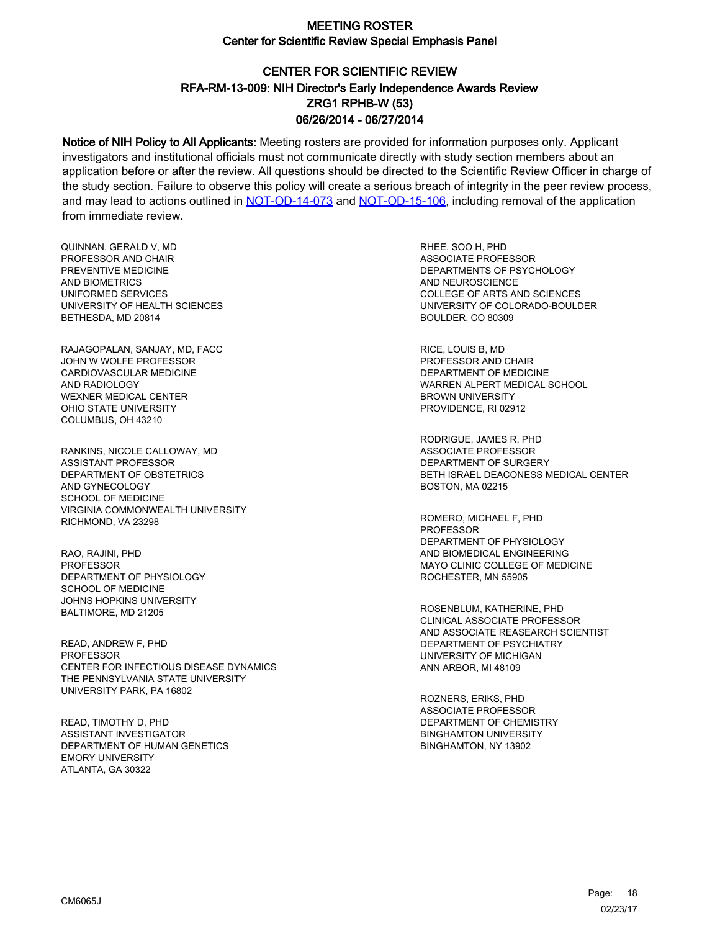# CENTER FOR SCIENTIFIC REVIEW ZRG1 RPHB-W (53) 06/26/2014 - 06/27/2014 RFA-RM-13-009: NIH Director's Early Independence Awards Review

Notice of NIH Policy to All Applicants: Meeting rosters are provided for information purposes only. Applicant investigators and institutional officials must not communicate directly with study section members about an application before or after the review. All questions should be directed to the Scientific Review Officer in charge of the study section. Failure to observe this policy will create a serious breach of integrity in the peer review process, and may lead to actions outlined in [NOT-OD-14-073](https://grants.nih.gov/grants/guide/notice-files/NOT-OD-14-073.html) and [NOT-OD-15-106,](https://grants.nih.gov/grants/guide/notice-files/NOT-OD-15-106.html) including removal of the application from immediate review.

QUINNAN, GERALD V, MD PROFESSOR AND CHAIR PREVENTIVE MEDICINE AND BIOMETRICS UNIFORMED SERVICES UNIVERSITY OF HEALTH SCIENCES BETHESDA, MD 20814

RAJAGOPALAN, SANJAY, MD, FACC JOHN W WOLFE PROFESSOR CARDIOVASCULAR MEDICINE AND RADIOLOGY WEXNER MEDICAL CENTER OHIO STATE UNIVERSITY COLUMBUS, OH 43210

RANKINS, NICOLE CALLOWAY, MD ASSISTANT PROFESSOR DEPARTMENT OF OBSTETRICS AND GYNECOLOGY SCHOOL OF MEDICINE VIRGINIA COMMONWEALTH UNIVERSITY RICHMOND, VA 23298

RAO, RAJINI, PHD PROFESSOR DEPARTMENT OF PHYSIOLOGY SCHOOL OF MEDICINE JOHNS HOPKINS UNIVERSITY BALTIMORE, MD 21205

READ, ANDREW F, PHD PROFESSOR CENTER FOR INFECTIOUS DISEASE DYNAMICS THE PENNSYLVANIA STATE UNIVERSITY UNIVERSITY PARK, PA 16802

READ, TIMOTHY D, PHD ASSISTANT INVESTIGATOR DEPARTMENT OF HUMAN GENETICS EMORY UNIVERSITY ATLANTA, GA 30322

RHEE, SOO H, PHD ASSOCIATE PROFESSOR DEPARTMENTS OF PSYCHOLOGY AND NEUROSCIENCE COLLEGE OF ARTS AND SCIENCES UNIVERSITY OF COLORADO-BOULDER BOULDER, CO 80309

RICE, LOUIS B, MD PROFESSOR AND CHAIR DEPARTMENT OF MEDICINE WARREN ALPERT MEDICAL SCHOOL BROWN UNIVERSITY PROVIDENCE, RI 02912

RODRIGUE, JAMES R, PHD ASSOCIATE PROFESSOR DEPARTMENT OF SURGERY BETH ISRAEL DEACONESS MEDICAL CENTER BOSTON, MA 02215

ROMERO, MICHAEL F, PHD PROFESSOR DEPARTMENT OF PHYSIOLOGY AND BIOMEDICAL ENGINEERING MAYO CLINIC COLLEGE OF MEDICINE ROCHESTER, MN 55905

ROSENBLUM, KATHERINE, PHD CLINICAL ASSOCIATE PROFESSOR AND ASSOCIATE REASEARCH SCIENTIST DEPARTMENT OF PSYCHIATRY UNIVERSITY OF MICHIGAN ANN ARBOR, MI 48109

ROZNERS, ERIKS, PHD ASSOCIATE PROFESSOR DEPARTMENT OF CHEMISTRY BINGHAMTON UNIVERSITY BINGHAMTON, NY 13902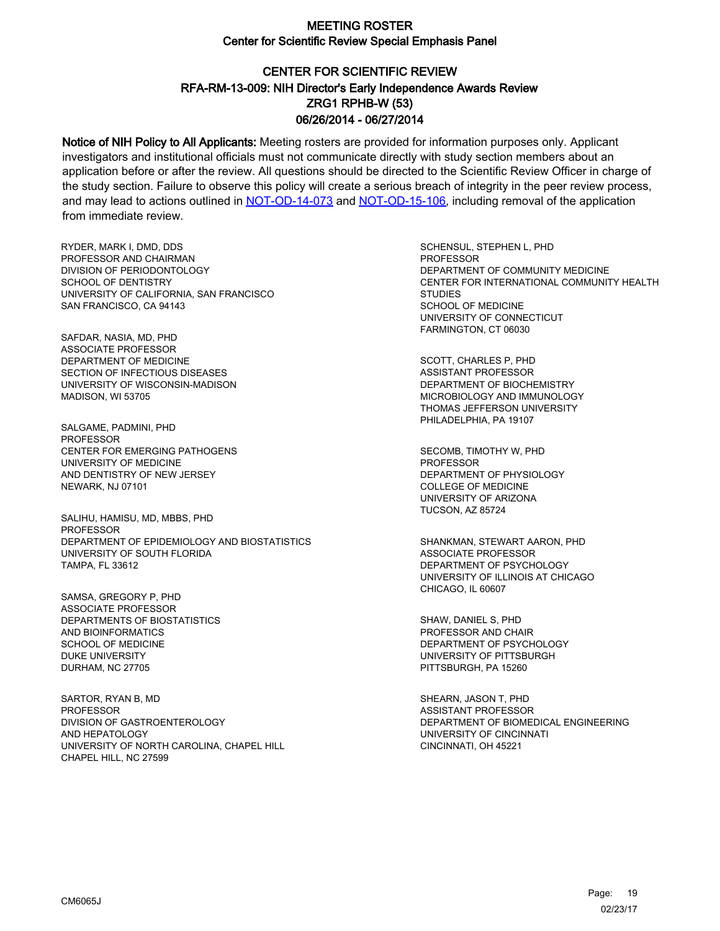# CENTER FOR SCIENTIFIC REVIEW ZRG1 RPHB-W (53) 06/26/2014 - 06/27/2014 RFA-RM-13-009: NIH Director's Early Independence Awards Review

Notice of NIH Policy to All Applicants: Meeting rosters are provided for information purposes only. Applicant investigators and institutional officials must not communicate directly with study section members about an application before or after the review. All questions should be directed to the Scientific Review Officer in charge of the study section. Failure to observe this policy will create a serious breach of integrity in the peer review process, and may lead to actions outlined in [NOT-OD-14-073](https://grants.nih.gov/grants/guide/notice-files/NOT-OD-14-073.html) and [NOT-OD-15-106,](https://grants.nih.gov/grants/guide/notice-files/NOT-OD-15-106.html) including removal of the application from immediate review.

RYDER, MARK I, DMD, DDS PROFESSOR AND CHAIRMAN DIVISION OF PERIODONTOLOGY SCHOOL OF DENTISTRY UNIVERSITY OF CALIFORNIA, SAN FRANCISCO SAN FRANCISCO, CA 94143

SAFDAR, NASIA, MD, PHD ASSOCIATE PROFESSOR DEPARTMENT OF MEDICINE SECTION OF INFECTIOUS DISEASES UNIVERSITY OF WISCONSIN-MADISON MADISON, WI 53705

SALGAME, PADMINI, PHD PROFESSOR CENTER FOR EMERGING PATHOGENS UNIVERSITY OF MEDICINE AND DENTISTRY OF NEW JERSEY NEWARK, NJ 07101

SALIHU, HAMISU, MD, MBBS, PHD **PROFESSOR** DEPARTMENT OF EPIDEMIOLOGY AND BIOSTATISTICS UNIVERSITY OF SOUTH FLORIDA TAMPA, FL 33612

SAMSA, GREGORY P, PHD ASSOCIATE PROFESSOR DEPARTMENTS OF BIOSTATISTICS AND BIOINFORMATICS SCHOOL OF MEDICINE DUKE UNIVERSITY DURHAM, NC 27705

SARTOR, RYAN B, MD **PROFESSOR** DIVISION OF GASTROENTEROLOGY AND HEPATOLOGY UNIVERSITY OF NORTH CAROLINA, CHAPEL HILL CHAPEL HILL, NC 27599

SCHENSUL, STEPHEN L, PHD **PROFESSOR** DEPARTMENT OF COMMUNITY MEDICINE CENTER FOR INTERNATIONAL COMMUNITY HEALTH **STUDIES** SCHOOL OF MEDICINE UNIVERSITY OF CONNECTICUT FARMINGTON, CT 06030

SCOTT, CHARLES P, PHD ASSISTANT PROFESSOR DEPARTMENT OF BIOCHEMISTRY MICROBIOLOGY AND IMMUNOLOGY THOMAS JEFFERSON UNIVERSITY PHILADELPHIA, PA 19107

SECOMB, TIMOTHY W, PHD PROFESSOR DEPARTMENT OF PHYSIOLOGY COLLEGE OF MEDICINE UNIVERSITY OF ARIZONA TUCSON, AZ 85724

SHANKMAN, STEWART AARON, PHD ASSOCIATE PROFESSOR DEPARTMENT OF PSYCHOLOGY UNIVERSITY OF ILLINOIS AT CHICAGO CHICAGO, IL 60607

SHAW, DANIEL S, PHD PROFESSOR AND CHAIR DEPARTMENT OF PSYCHOLOGY UNIVERSITY OF PITTSBURGH PITTSBURGH, PA 15260

SHEARN, JASON T, PHD ASSISTANT PROFESSOR DEPARTMENT OF BIOMEDICAL ENGINEERING UNIVERSITY OF CINCINNATI CINCINNATI, OH 45221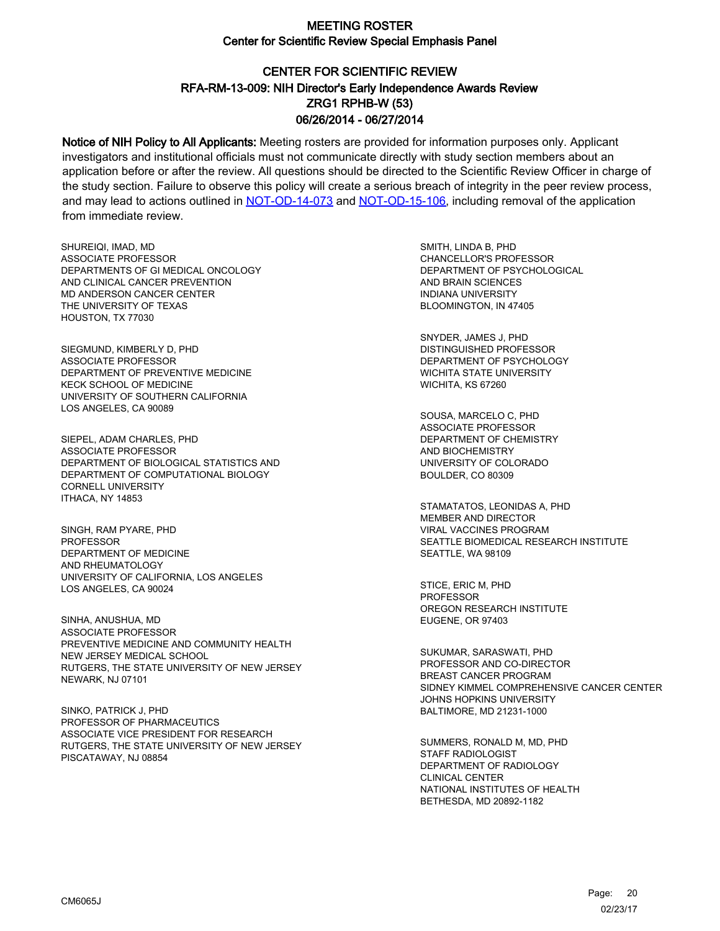# CENTER FOR SCIENTIFIC REVIEW ZRG1 RPHB-W (53) 06/26/2014 - 06/27/2014 RFA-RM-13-009: NIH Director's Early Independence Awards Review

Notice of NIH Policy to All Applicants: Meeting rosters are provided for information purposes only. Applicant investigators and institutional officials must not communicate directly with study section members about an application before or after the review. All questions should be directed to the Scientific Review Officer in charge of the study section. Failure to observe this policy will create a serious breach of integrity in the peer review process, and may lead to actions outlined in [NOT-OD-14-073](https://grants.nih.gov/grants/guide/notice-files/NOT-OD-14-073.html) and [NOT-OD-15-106,](https://grants.nih.gov/grants/guide/notice-files/NOT-OD-15-106.html) including removal of the application from immediate review.

SHUREIQI, IMAD, MD ASSOCIATE PROFESSOR DEPARTMENTS OF GI MEDICAL ONCOLOGY AND CLINICAL CANCER PREVENTION MD ANDERSON CANCER CENTER THE UNIVERSITY OF TEXAS HOUSTON, TX 77030

SIEGMUND, KIMBERLY D, PHD ASSOCIATE PROFESSOR DEPARTMENT OF PREVENTIVE MEDICINE KECK SCHOOL OF MEDICINE UNIVERSITY OF SOUTHERN CALIFORNIA LOS ANGELES, CA 90089

SIEPEL, ADAM CHARLES, PHD ASSOCIATE PROFESSOR DEPARTMENT OF BIOLOGICAL STATISTICS AND DEPARTMENT OF COMPUTATIONAL BIOLOGY CORNELL UNIVERSITY ITHACA, NY 14853

SINGH, RAM PYARE, PHD PROFESSOR DEPARTMENT OF MEDICINE AND RHEUMATOLOGY UNIVERSITY OF CALIFORNIA, LOS ANGELES LOS ANGELES, CA 90024

SINHA, ANUSHUA, MD ASSOCIATE PROFESSOR PREVENTIVE MEDICINE AND COMMUNITY HEALTH NEW JERSEY MEDICAL SCHOOL RUTGERS, THE STATE UNIVERSITY OF NEW JERSEY NEWARK, NJ 07101

SINKO, PATRICK J, PHD PROFESSOR OF PHARMACEUTICS ASSOCIATE VICE PRESIDENT FOR RESEARCH RUTGERS, THE STATE UNIVERSITY OF NEW JERSEY PISCATAWAY, NJ 08854

SMITH, LINDA B, PHD CHANCELLOR'S PROFESSOR DEPARTMENT OF PSYCHOLOGICAL AND BRAIN SCIENCES INDIANA UNIVERSITY BLOOMINGTON, IN 47405

SNYDER, JAMES J, PHD DISTINGUISHED PROFESSOR DEPARTMENT OF PSYCHOLOGY WICHITA STATE UNIVERSITY WICHITA, KS 67260

SOUSA, MARCELO C, PHD ASSOCIATE PROFESSOR DEPARTMENT OF CHEMISTRY AND BIOCHEMISTRY UNIVERSITY OF COLORADO BOULDER, CO 80309

STAMATATOS, LEONIDAS A, PHD MEMBER AND DIRECTOR VIRAL VACCINES PROGRAM SEATTLE BIOMEDICAL RESEARCH INSTITUTE SEATTLE, WA 98109

STICE, ERIC M, PHD PROFESSOR OREGON RESEARCH INSTITUTE EUGENE, OR 97403

SUKUMAR, SARASWATI, PHD PROFESSOR AND CO-DIRECTOR BREAST CANCER PROGRAM SIDNEY KIMMEL COMPREHENSIVE CANCER CENTER JOHNS HOPKINS UNIVERSITY BALTIMORE, MD 21231-1000

SUMMERS, RONALD M, MD, PHD STAFF RADIOLOGIST DEPARTMENT OF RADIOLOGY CLINICAL CENTER NATIONAL INSTITUTES OF HEALTH BETHESDA, MD 20892-1182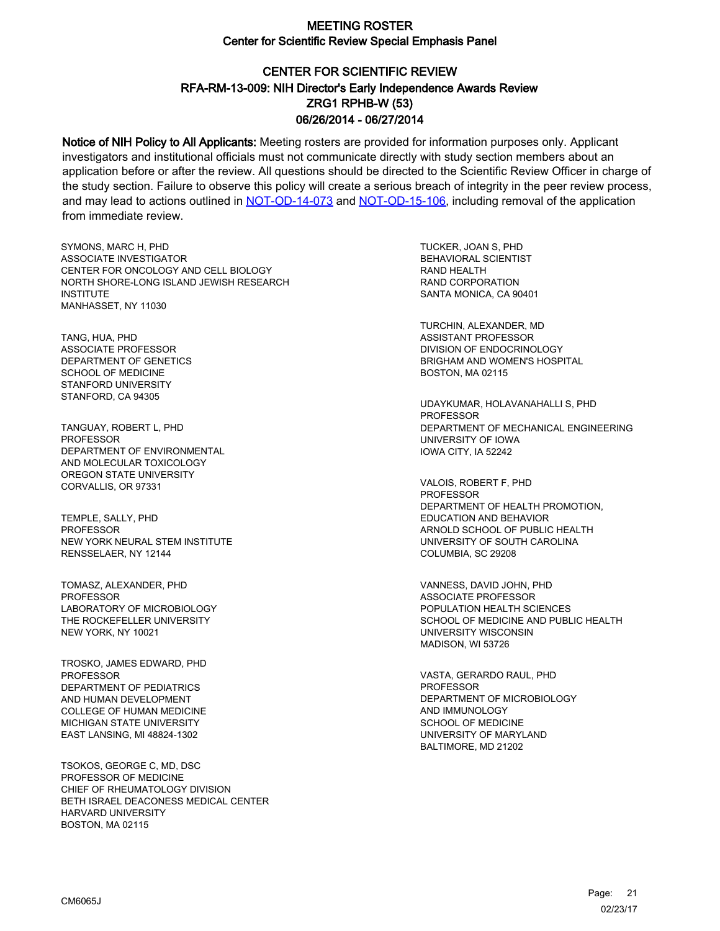# CENTER FOR SCIENTIFIC REVIEW ZRG1 RPHB-W (53) 06/26/2014 - 06/27/2014 RFA-RM-13-009: NIH Director's Early Independence Awards Review

Notice of NIH Policy to All Applicants: Meeting rosters are provided for information purposes only. Applicant investigators and institutional officials must not communicate directly with study section members about an application before or after the review. All questions should be directed to the Scientific Review Officer in charge of the study section. Failure to observe this policy will create a serious breach of integrity in the peer review process, and may lead to actions outlined in [NOT-OD-14-073](https://grants.nih.gov/grants/guide/notice-files/NOT-OD-14-073.html) and [NOT-OD-15-106,](https://grants.nih.gov/grants/guide/notice-files/NOT-OD-15-106.html) including removal of the application from immediate review.

SYMONS, MARC H, PHD ASSOCIATE INVESTIGATOR CENTER FOR ONCOLOGY AND CELL BIOLOGY NORTH SHORE-LONG ISLAND JEWISH RESEARCH INSTITUTE MANHASSET, NY 11030

TANG, HUA, PHD ASSOCIATE PROFESSOR DEPARTMENT OF GENETICS SCHOOL OF MEDICINE STANFORD UNIVERSITY STANFORD, CA 94305

TANGUAY, ROBERT L, PHD **PROFESSOR** DEPARTMENT OF ENVIRONMENTAL AND MOLECULAR TOXICOLOGY OREGON STATE UNIVERSITY CORVALLIS, OR 97331

TEMPLE, SALLY, PHD **PROFESSOR** NEW YORK NEURAL STEM INSTITUTE RENSSELAER, NY 12144

TOMASZ, ALEXANDER, PHD PROFESSOR LABORATORY OF MICROBIOLOGY THE ROCKEFELLER UNIVERSITY NEW YORK, NY 10021

TROSKO, JAMES EDWARD, PHD PROFESSOR DEPARTMENT OF PEDIATRICS AND HUMAN DEVELOPMENT COLLEGE OF HUMAN MEDICINE MICHIGAN STATE UNIVERSITY EAST LANSING, MI 48824-1302

TSOKOS, GEORGE C, MD, DSC PROFESSOR OF MEDICINE CHIEF OF RHEUMATOLOGY DIVISION BETH ISRAEL DEACONESS MEDICAL CENTER HARVARD UNIVERSITY BOSTON, MA 02115

TUCKER, JOAN S, PHD BEHAVIORAL SCIENTIST RAND HEALTH RAND CORPORATION SANTA MONICA, CA 90401

TURCHIN, ALEXANDER, MD ASSISTANT PROFESSOR DIVISION OF ENDOCRINOLOGY BRIGHAM AND WOMEN'S HOSPITAL BOSTON, MA 02115

UDAYKUMAR, HOLAVANAHALLI S, PHD **PROFESSOR** DEPARTMENT OF MECHANICAL ENGINEERING UNIVERSITY OF IOWA IOWA CITY, IA 52242

VALOIS, ROBERT F, PHD **PROFESSOR** DEPARTMENT OF HEALTH PROMOTION, EDUCATION AND BEHAVIOR ARNOLD SCHOOL OF PUBLIC HEALTH UNIVERSITY OF SOUTH CAROLINA COLUMBIA, SC 29208

VANNESS, DAVID JOHN, PHD ASSOCIATE PROFESSOR POPULATION HEALTH SCIENCES SCHOOL OF MEDICINE AND PUBLIC HEALTH UNIVERSITY WISCONSIN MADISON, WI 53726

VASTA, GERARDO RAUL, PHD **PROFESSOR** DEPARTMENT OF MICROBIOLOGY AND IMMUNOLOGY SCHOOL OF MEDICINE UNIVERSITY OF MARYLAND BALTIMORE, MD 21202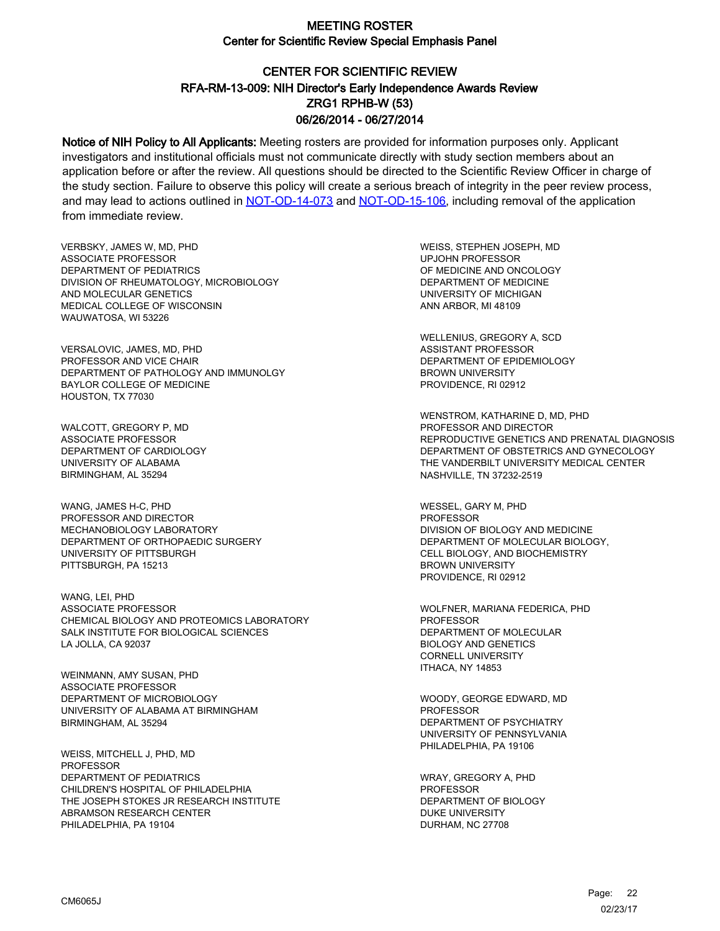# CENTER FOR SCIENTIFIC REVIEW ZRG1 RPHB-W (53) 06/26/2014 - 06/27/2014 RFA-RM-13-009: NIH Director's Early Independence Awards Review

Notice of NIH Policy to All Applicants: Meeting rosters are provided for information purposes only. Applicant investigators and institutional officials must not communicate directly with study section members about an application before or after the review. All questions should be directed to the Scientific Review Officer in charge of the study section. Failure to observe this policy will create a serious breach of integrity in the peer review process, and may lead to actions outlined in [NOT-OD-14-073](https://grants.nih.gov/grants/guide/notice-files/NOT-OD-14-073.html) and [NOT-OD-15-106,](https://grants.nih.gov/grants/guide/notice-files/NOT-OD-15-106.html) including removal of the application from immediate review.

VERBSKY, JAMES W, MD, PHD ASSOCIATE PROFESSOR DEPARTMENT OF PEDIATRICS DIVISION OF RHEUMATOLOGY, MICROBIOLOGY AND MOLECULAR GENETICS MEDICAL COLLEGE OF WISCONSIN WAUWATOSA, WI 53226

VERSALOVIC, JAMES, MD, PHD PROFESSOR AND VICE CHAIR DEPARTMENT OF PATHOLOGY AND IMMUNOLGY BAYLOR COLLEGE OF MEDICINE HOUSTON, TX 77030

WALCOTT, GREGORY P, MD ASSOCIATE PROFESSOR DEPARTMENT OF CARDIOLOGY UNIVERSITY OF ALABAMA BIRMINGHAM, AL 35294

WANG, JAMES H-C, PHD PROFESSOR AND DIRECTOR MECHANOBIOLOGY LABORATORY DEPARTMENT OF ORTHOPAEDIC SURGERY UNIVERSITY OF PITTSBURGH PITTSBURGH, PA 15213

WANG, LEI, PHD ASSOCIATE PROFESSOR CHEMICAL BIOLOGY AND PROTEOMICS LABORATORY SALK INSTITUTE FOR BIOLOGICAL SCIENCES LA JOLLA, CA 92037

WEINMANN, AMY SUSAN, PHD ASSOCIATE PROFESSOR DEPARTMENT OF MICROBIOLOGY UNIVERSITY OF ALABAMA AT BIRMINGHAM BIRMINGHAM, AL 35294

WEISS, MITCHELL J, PHD, MD **PROFESSOR** DEPARTMENT OF PEDIATRICS CHILDREN'S HOSPITAL OF PHILADELPHIA THE JOSEPH STOKES JR RESEARCH INSTITUTE ABRAMSON RESEARCH CENTER PHILADELPHIA, PA 19104

WEISS, STEPHEN JOSEPH, MD UPJOHN PROFESSOR OF MEDICINE AND ONCOLOGY DEPARTMENT OF MEDICINE UNIVERSITY OF MICHIGAN ANN ARBOR, MI 48109

WELLENIUS, GREGORY A, SCD ASSISTANT PROFESSOR DEPARTMENT OF EPIDEMIOLOGY BROWN UNIVERSITY PROVIDENCE, RI 02912

WENSTROM, KATHARINE D, MD, PHD PROFESSOR AND DIRECTOR REPRODUCTIVE GENETICS AND PRENATAL DIAGNOSIS DEPARTMENT OF OBSTETRICS AND GYNECOLOGY THE VANDERBILT UNIVERSITY MEDICAL CENTER NASHVILLE, TN 37232-2519

WESSEL, GARY M, PHD PROFESSOR DIVISION OF BIOLOGY AND MEDICINE DEPARTMENT OF MOLECULAR BIOLOGY, CELL BIOLOGY, AND BIOCHEMISTRY BROWN UNIVERSITY PROVIDENCE, RI 02912

WOLFNER, MARIANA FEDERICA, PHD PROFESSOR DEPARTMENT OF MOLECULAR BIOLOGY AND GENETICS CORNELL UNIVERSITY ITHACA, NY 14853

WOODY, GEORGE EDWARD, MD **PROFESSOR** DEPARTMENT OF PSYCHIATRY UNIVERSITY OF PENNSYLVANIA PHILADELPHIA, PA 19106

WRAY, GREGORY A, PHD PROFESSOR DEPARTMENT OF BIOLOGY DUKE UNIVERSITY DURHAM, NC 27708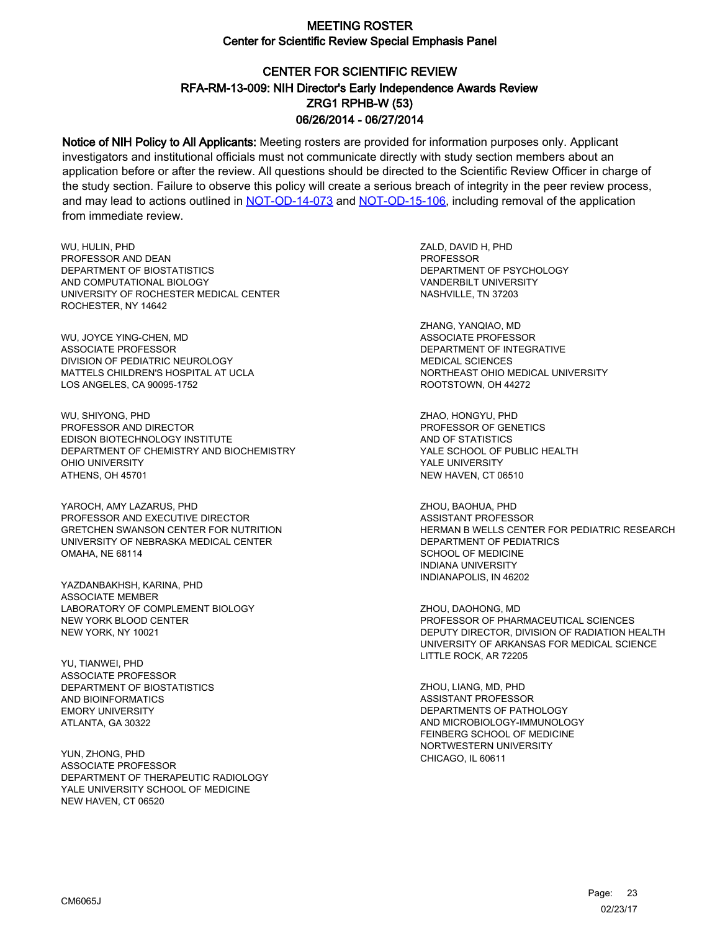# CENTER FOR SCIENTIFIC REVIEW ZRG1 RPHB-W (53) 06/26/2014 - 06/27/2014 RFA-RM-13-009: NIH Director's Early Independence Awards Review

Notice of NIH Policy to All Applicants: Meeting rosters are provided for information purposes only. Applicant investigators and institutional officials must not communicate directly with study section members about an application before or after the review. All questions should be directed to the Scientific Review Officer in charge of the study section. Failure to observe this policy will create a serious breach of integrity in the peer review process, and may lead to actions outlined in [NOT-OD-14-073](https://grants.nih.gov/grants/guide/notice-files/NOT-OD-14-073.html) and [NOT-OD-15-106,](https://grants.nih.gov/grants/guide/notice-files/NOT-OD-15-106.html) including removal of the application from immediate review.

WU, HULIN, PHD PROFESSOR AND DEAN DEPARTMENT OF BIOSTATISTICS AND COMPUTATIONAL BIOLOGY UNIVERSITY OF ROCHESTER MEDICAL CENTER ROCHESTER, NY 14642

WU, JOYCE YING-CHEN, MD ASSOCIATE PROFESSOR DIVISION OF PEDIATRIC NEUROLOGY MATTELS CHILDREN'S HOSPITAL AT UCLA LOS ANGELES, CA 90095-1752

WU, SHIYONG, PHD PROFESSOR AND DIRECTOR EDISON BIOTECHNOLOGY INSTITUTE DEPARTMENT OF CHEMISTRY AND BIOCHEMISTRY OHIO UNIVERSITY ATHENS, OH 45701

YAROCH, AMY LAZARUS, PHD PROFESSOR AND EXECUTIVE DIRECTOR GRETCHEN SWANSON CENTER FOR NUTRITION UNIVERSITY OF NEBRASKA MEDICAL CENTER OMAHA, NE 68114

YAZDANBAKHSH, KARINA, PHD ASSOCIATE MEMBER LABORATORY OF COMPLEMENT BIOLOGY NEW YORK BLOOD CENTER NEW YORK, NY 10021

YU, TIANWEI, PHD ASSOCIATE PROFESSOR DEPARTMENT OF BIOSTATISTICS AND BIOINFORMATICS EMORY UNIVERSITY ATLANTA, GA 30322

YUN, ZHONG, PHD ASSOCIATE PROFESSOR DEPARTMENT OF THERAPEUTIC RADIOLOGY YALE UNIVERSITY SCHOOL OF MEDICINE NEW HAVEN, CT 06520

ZALD, DAVID H, PHD PROFESSOR DEPARTMENT OF PSYCHOLOGY VANDERBILT UNIVERSITY NASHVILLE, TN 37203

ZHANG, YANQIAO, MD ASSOCIATE PROFESSOR DEPARTMENT OF INTEGRATIVE MEDICAL SCIENCES NORTHEAST OHIO MEDICAL UNIVERSITY ROOTSTOWN, OH 44272

ZHAO, HONGYU, PHD PROFESSOR OF GENETICS AND OF STATISTICS YALE SCHOOL OF PUBLIC HEALTH YALE UNIVERSITY NEW HAVEN, CT 06510

ZHOU, BAOHUA, PHD ASSISTANT PROFESSOR HERMAN B WELLS CENTER FOR PEDIATRIC RESEARCH DEPARTMENT OF PEDIATRICS SCHOOL OF MEDICINE INDIANA UNIVERSITY INDIANAPOLIS, IN 46202

ZHOU, DAOHONG, MD PROFESSOR OF PHARMACEUTICAL SCIENCES DEPUTY DIRECTOR, DIVISION OF RADIATION HEALTH UNIVERSITY OF ARKANSAS FOR MEDICAL SCIENCE LITTLE ROCK, AR 72205

ZHOU, LIANG, MD, PHD ASSISTANT PROFESSOR DEPARTMENTS OF PATHOLOGY AND MICROBIOLOGY-IMMUNOLOGY FEINBERG SCHOOL OF MEDICINE NORTWESTERN UNIVERSITY CHICAGO, IL 60611